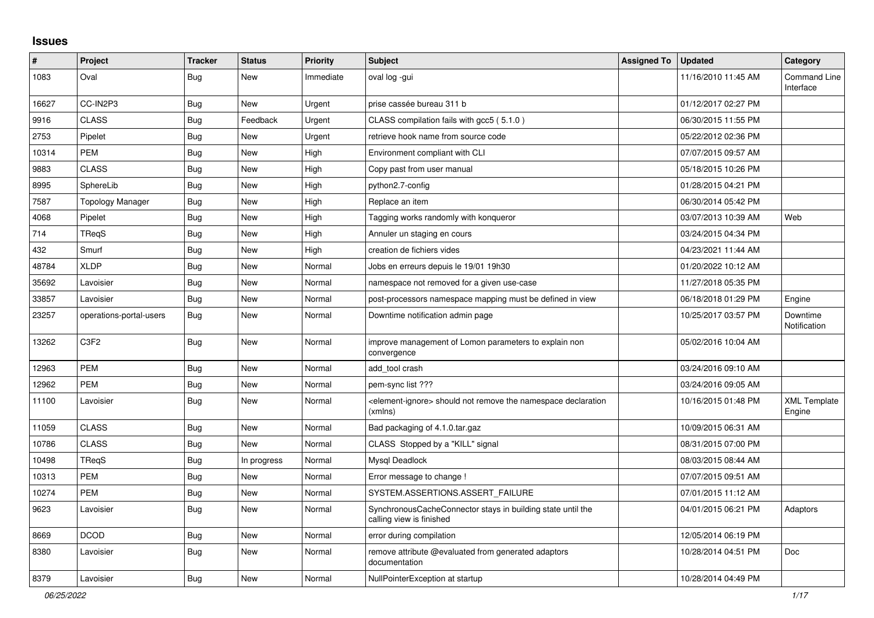## **Issues**

| ∦     | Project                       | <b>Tracker</b> | <b>Status</b> | Priority  | <b>Subject</b>                                                                            | <b>Assigned To</b> | <b>Updated</b>      | Category                         |
|-------|-------------------------------|----------------|---------------|-----------|-------------------------------------------------------------------------------------------|--------------------|---------------------|----------------------------------|
| 1083  | Oval                          | <b>Bug</b>     | New           | Immediate | oval log -gui                                                                             |                    | 11/16/2010 11:45 AM | <b>Command Line</b><br>Interface |
| 16627 | CC-IN2P3                      | <b>Bug</b>     | <b>New</b>    | Urgent    | prise cassée bureau 311 b                                                                 |                    | 01/12/2017 02:27 PM |                                  |
| 9916  | <b>CLASS</b>                  | <b>Bug</b>     | Feedback      | Urgent    | CLASS compilation fails with gcc5 (5.1.0)                                                 |                    | 06/30/2015 11:55 PM |                                  |
| 2753  | Pipelet                       | Bug            | New           | Urgent    | retrieve hook name from source code                                                       |                    | 05/22/2012 02:36 PM |                                  |
| 10314 | <b>PEM</b>                    | Bug            | New           | High      | Environment compliant with CLI                                                            |                    | 07/07/2015 09:57 AM |                                  |
| 9883  | <b>CLASS</b>                  | Bug            | New           | High      | Copy past from user manual                                                                |                    | 05/18/2015 10:26 PM |                                  |
| 8995  | SphereLib                     | Bug            | New           | High      | python2.7-config                                                                          |                    | 01/28/2015 04:21 PM |                                  |
| 7587  | Topology Manager              | <b>Bug</b>     | <b>New</b>    | High      | Replace an item                                                                           |                    | 06/30/2014 05:42 PM |                                  |
| 4068  | Pipelet                       | Bug            | New           | High      | Tagging works randomly with konqueror                                                     |                    | 03/07/2013 10:39 AM | Web                              |
| 714   | TRegS                         | <b>Bug</b>     | New           | High      | Annuler un staging en cours                                                               |                    | 03/24/2015 04:34 PM |                                  |
| 432   | Smurf                         | Bug            | New           | High      | creation de fichiers vides                                                                |                    | 04/23/2021 11:44 AM |                                  |
| 48784 | <b>XLDP</b>                   | Bug            | New           | Normal    | Jobs en erreurs depuis le 19/01 19h30                                                     |                    | 01/20/2022 10:12 AM |                                  |
| 35692 | Lavoisier                     | <b>Bug</b>     | New           | Normal    | namespace not removed for a given use-case                                                |                    | 11/27/2018 05:35 PM |                                  |
| 33857 | Lavoisier                     | <b>Bug</b>     | New           | Normal    | post-processors namespace mapping must be defined in view                                 |                    | 06/18/2018 01:29 PM | Engine                           |
| 23257 | operations-portal-users       | <b>Bug</b>     | New           | Normal    | Downtime notification admin page                                                          |                    | 10/25/2017 03:57 PM | Downtime<br>Notification         |
| 13262 | C <sub>3</sub> F <sub>2</sub> | <b>Bug</b>     | <b>New</b>    | Normal    | improve management of Lomon parameters to explain non<br>convergence                      |                    | 05/02/2016 10:04 AM |                                  |
| 12963 | <b>PEM</b>                    | <b>Bug</b>     | New           | Normal    | add tool crash                                                                            |                    | 03/24/2016 09:10 AM |                                  |
| 12962 | <b>PEM</b>                    | <b>Bug</b>     | New           | Normal    | pem-sync list ???                                                                         |                    | 03/24/2016 09:05 AM |                                  |
| 11100 | Lavoisier                     | <b>Bug</b>     | New           | Normal    | <element-ignore> should not remove the namespace declaration<br/>(xmlns)</element-ignore> |                    | 10/16/2015 01:48 PM | <b>XML Template</b><br>Engine    |
| 11059 | <b>CLASS</b>                  | <b>Bug</b>     | New           | Normal    | Bad packaging of 4.1.0.tar.gaz                                                            |                    | 10/09/2015 06:31 AM |                                  |
| 10786 | <b>CLASS</b>                  | <b>Bug</b>     | New           | Normal    | CLASS Stopped by a "KILL" signal                                                          |                    | 08/31/2015 07:00 PM |                                  |
| 10498 | TReaS                         | Bug            | In progress   | Normal    | Mysql Deadlock                                                                            |                    | 08/03/2015 08:44 AM |                                  |
| 10313 | <b>PEM</b>                    | <b>Bug</b>     | New           | Normal    | Error message to change !                                                                 |                    | 07/07/2015 09:51 AM |                                  |
| 10274 | <b>PEM</b>                    | Bug            | New           | Normal    | SYSTEM.ASSERTIONS.ASSERT_FAILURE                                                          |                    | 07/01/2015 11:12 AM |                                  |
| 9623  | Lavoisier                     | <b>Bug</b>     | New           | Normal    | SynchronousCacheConnector stays in building state until the<br>calling view is finished   |                    | 04/01/2015 06:21 PM | Adaptors                         |
| 8669  | <b>DCOD</b>                   | <b>Bug</b>     | New           | Normal    | error during compilation                                                                  |                    | 12/05/2014 06:19 PM |                                  |
| 8380  | Lavoisier                     | Bug            | New           | Normal    | remove attribute @evaluated from generated adaptors<br>documentation                      |                    | 10/28/2014 04:51 PM | Doc                              |
| 8379  | Lavoisier                     | <b>Bug</b>     | <b>New</b>    | Normal    | NullPointerException at startup                                                           |                    | 10/28/2014 04:49 PM |                                  |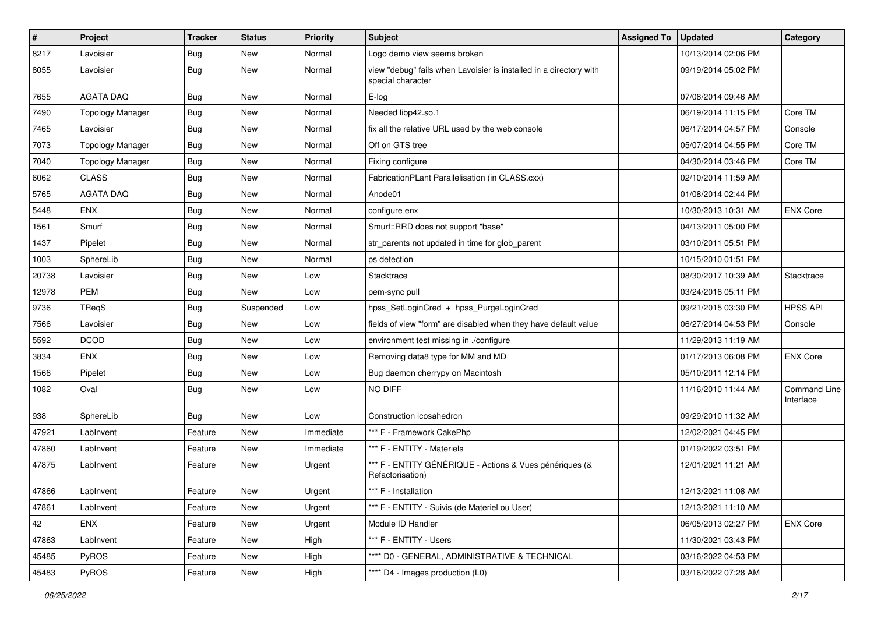| #     | Project                 | Tracker    | <b>Status</b> | <b>Priority</b> | Subject                                                                                 | <b>Assigned To</b> | <b>Updated</b>      | Category                  |
|-------|-------------------------|------------|---------------|-----------------|-----------------------------------------------------------------------------------------|--------------------|---------------------|---------------------------|
| 8217  | Lavoisier               | <b>Bug</b> | New           | Normal          | Logo demo view seems broken                                                             |                    | 10/13/2014 02:06 PM |                           |
| 8055  | Lavoisier               | <b>Bug</b> | New           | Normal          | view "debug" fails when Lavoisier is installed in a directory with<br>special character |                    | 09/19/2014 05:02 PM |                           |
| 7655  | <b>AGATA DAQ</b>        | <b>Bug</b> | New           | Normal          | E-log                                                                                   |                    | 07/08/2014 09:46 AM |                           |
| 7490  | Topology Manager        | <b>Bug</b> | New           | Normal          | Needed libp42.so.1                                                                      |                    | 06/19/2014 11:15 PM | Core TM                   |
| 7465  | Lavoisier               | <b>Bug</b> | <b>New</b>    | Normal          | fix all the relative URL used by the web console                                        |                    | 06/17/2014 04:57 PM | Console                   |
| 7073  | <b>Topology Manager</b> | <b>Bug</b> | New           | Normal          | Off on GTS tree                                                                         |                    | 05/07/2014 04:55 PM | Core TM                   |
| 7040  | <b>Topology Manager</b> | <b>Bug</b> | New           | Normal          | Fixing configure                                                                        |                    | 04/30/2014 03:46 PM | Core TM                   |
| 6062  | <b>CLASS</b>            | <b>Bug</b> | New           | Normal          | FabricationPLant Parallelisation (in CLASS.cxx)                                         |                    | 02/10/2014 11:59 AM |                           |
| 5765  | <b>AGATA DAQ</b>        | <b>Bug</b> | New           | Normal          | Anode01                                                                                 |                    | 01/08/2014 02:44 PM |                           |
| 5448  | <b>ENX</b>              | <b>Bug</b> | New           | Normal          | configure enx                                                                           |                    | 10/30/2013 10:31 AM | <b>ENX Core</b>           |
| 1561  | Smurf                   | <b>Bug</b> | New           | Normal          | Smurf::RRD does not support "base"                                                      |                    | 04/13/2011 05:00 PM |                           |
| 1437  | Pipelet                 | <b>Bug</b> | New           | Normal          | str_parents not updated in time for glob_parent                                         |                    | 03/10/2011 05:51 PM |                           |
| 1003  | SphereLib               | <b>Bug</b> | New           | Normal          | ps detection                                                                            |                    | 10/15/2010 01:51 PM |                           |
| 20738 | Lavoisier               | <b>Bug</b> | <b>New</b>    | Low             | Stacktrace                                                                              |                    | 08/30/2017 10:39 AM | Stacktrace                |
| 12978 | <b>PEM</b>              | <b>Bug</b> | <b>New</b>    | Low             | pem-sync pull                                                                           |                    | 03/24/2016 05:11 PM |                           |
| 9736  | TReqS                   | <b>Bug</b> | Suspended     | Low             | hpss_SetLoginCred + hpss_PurgeLoginCred                                                 |                    | 09/21/2015 03:30 PM | <b>HPSS API</b>           |
| 7566  | Lavoisier               | <b>Bug</b> | New           | Low             | fields of view "form" are disabled when they have default value                         |                    | 06/27/2014 04:53 PM | Console                   |
| 5592  | <b>DCOD</b>             | <b>Bug</b> | New           | Low             | environment test missing in ./configure                                                 |                    | 11/29/2013 11:19 AM |                           |
| 3834  | <b>ENX</b>              | <b>Bug</b> | <b>New</b>    | Low             | Removing data8 type for MM and MD                                                       |                    | 01/17/2013 06:08 PM | <b>ENX Core</b>           |
| 1566  | Pipelet                 | <b>Bug</b> | New           | Low             | Bug daemon cherrypy on Macintosh                                                        |                    | 05/10/2011 12:14 PM |                           |
| 1082  | Oval                    | <b>Bug</b> | New           | Low             | NO DIFF                                                                                 |                    | 11/16/2010 11:44 AM | Command Line<br>Interface |
| 938   | SphereLib               | <b>Bug</b> | New           | Low             | Construction icosahedron                                                                |                    | 09/29/2010 11:32 AM |                           |
| 47921 | LabInvent               | Feature    | New           | Immediate       | *** F - Framework CakePhp                                                               |                    | 12/02/2021 04:45 PM |                           |
| 47860 | LabInvent               | Feature    | New           | Immediate       | *** F - ENTITY - Materiels                                                              |                    | 01/19/2022 03:51 PM |                           |
| 47875 | LabInvent               | Feature    | New           | Urgent          | *** F - ENTITY GÉNÉRIQUE - Actions & Vues génériques (&<br>Refactorisation)             |                    | 12/01/2021 11:21 AM |                           |
| 47866 | LabInvent               | Feature    | New           | Urgent          | *** F - Installation                                                                    |                    | 12/13/2021 11:08 AM |                           |
| 47861 | LabInvent               | Feature    | New           | Urgent          | *** F - ENTITY - Suivis (de Materiel ou User)                                           |                    | 12/13/2021 11:10 AM |                           |
| 42    | <b>ENX</b>              | Feature    | New           | Urgent          | Module ID Handler                                                                       |                    | 06/05/2013 02:27 PM | <b>ENX Core</b>           |
| 47863 | LabInvent               | Feature    | New           | High            | *** F - ENTITY - Users                                                                  |                    | 11/30/2021 03:43 PM |                           |
| 45485 | PyROS                   | Feature    | New           | High            | **** D0 - GENERAL, ADMINISTRATIVE & TECHNICAL                                           |                    | 03/16/2022 04:53 PM |                           |
| 45483 | PyROS                   | Feature    | New           | High            | **** D4 - Images production (L0)                                                        |                    | 03/16/2022 07:28 AM |                           |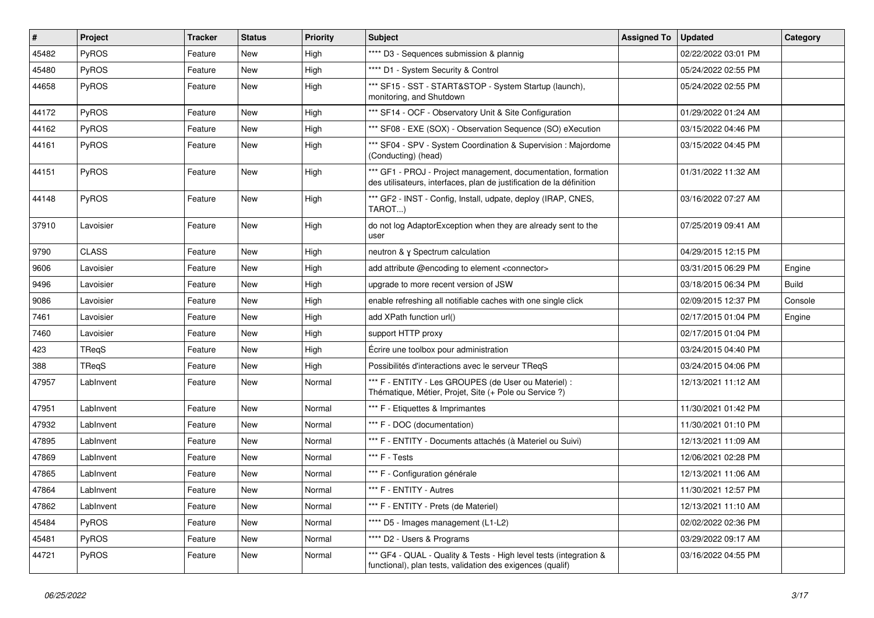| #     | Project      | Tracker | <b>Status</b> | <b>Priority</b> | <b>Subject</b>                                                                                                                        | <b>Assigned To</b> | <b>Updated</b>      | Category     |
|-------|--------------|---------|---------------|-----------------|---------------------------------------------------------------------------------------------------------------------------------------|--------------------|---------------------|--------------|
| 45482 | PyROS        | Feature | New           | High            | **** D3 - Sequences submission & plannig                                                                                              |                    | 02/22/2022 03:01 PM |              |
| 45480 | PyROS        | Feature | New           | High            | **** D1 - System Security & Control                                                                                                   |                    | 05/24/2022 02:55 PM |              |
| 44658 | <b>PyROS</b> | Feature | New           | High            | *** SF15 - SST - START&STOP - System Startup (launch),<br>monitoring, and Shutdown                                                    |                    | 05/24/2022 02:55 PM |              |
| 44172 | PyROS        | Feature | New           | High            | *** SF14 - OCF - Observatory Unit & Site Configuration                                                                                |                    | 01/29/2022 01:24 AM |              |
| 44162 | PyROS        | Feature | New           | High            | *** SF08 - EXE (SOX) - Observation Sequence (SO) eXecution                                                                            |                    | 03/15/2022 04:46 PM |              |
| 44161 | PyROS        | Feature | New           | High            | *** SF04 - SPV - System Coordination & Supervision : Majordome<br>(Conducting) (head)                                                 |                    | 03/15/2022 04:45 PM |              |
| 44151 | PyROS        | Feature | New           | High            | *** GF1 - PROJ - Project management, documentation, formation<br>des utilisateurs, interfaces, plan de justification de la définition |                    | 01/31/2022 11:32 AM |              |
| 44148 | PyROS        | Feature | New           | High            | *** GF2 - INST - Config, Install, udpate, deploy (IRAP, CNES,<br>TAROT)                                                               |                    | 03/16/2022 07:27 AM |              |
| 37910 | Lavoisier    | Feature | New           | High            | do not log AdaptorException when they are already sent to the<br>user                                                                 |                    | 07/25/2019 09:41 AM |              |
| 9790  | <b>CLASS</b> | Feature | New           | High            | neutron & γ Spectrum calculation                                                                                                      |                    | 04/29/2015 12:15 PM |              |
| 9606  | Lavoisier    | Feature | New           | High            | add attribute @encoding to element <connector></connector>                                                                            |                    | 03/31/2015 06:29 PM | Engine       |
| 9496  | Lavoisier    | Feature | New           | High            | upgrade to more recent version of JSW                                                                                                 |                    | 03/18/2015 06:34 PM | <b>Build</b> |
| 9086  | Lavoisier    | Feature | New           | High            | enable refreshing all notifiable caches with one single click                                                                         |                    | 02/09/2015 12:37 PM | Console      |
| 7461  | Lavoisier    | Feature | New           | High            | add XPath function url()                                                                                                              |                    | 02/17/2015 01:04 PM | Engine       |
| 7460  | Lavoisier    | Feature | New           | High            | support HTTP proxy                                                                                                                    |                    | 02/17/2015 01:04 PM |              |
| 423   | TReqS        | Feature | New           | High            | Écrire une toolbox pour administration                                                                                                |                    | 03/24/2015 04:40 PM |              |
| 388   | TReqS        | Feature | New           | High            | Possibilités d'interactions avec le serveur TReqS                                                                                     |                    | 03/24/2015 04:06 PM |              |
| 47957 | LabInvent    | Feature | New           | Normal          | *** F - ENTITY - Les GROUPES (de User ou Materiel) :<br>Thématique, Métier, Projet, Site (+ Pole ou Service ?)                        |                    | 12/13/2021 11:12 AM |              |
| 47951 | LabInvent    | Feature | New           | Normal          | *** F - Etiquettes & Imprimantes                                                                                                      |                    | 11/30/2021 01:42 PM |              |
| 47932 | LabInvent    | Feature | New           | Normal          | *** F - DOC (documentation)                                                                                                           |                    | 11/30/2021 01:10 PM |              |
| 47895 | LabInvent    | Feature | New           | Normal          | *** F - ENTITY - Documents attachés (à Materiel ou Suivi)                                                                             |                    | 12/13/2021 11:09 AM |              |
| 47869 | LabInvent    | Feature | New           | Normal          | *** F - Tests                                                                                                                         |                    | 12/06/2021 02:28 PM |              |
| 47865 | LabInvent    | Feature | New           | Normal          | *** F - Configuration générale                                                                                                        |                    | 12/13/2021 11:06 AM |              |
| 47864 | LabInvent    | Feature | New           | Normal          | *** F - ENTITY - Autres                                                                                                               |                    | 11/30/2021 12:57 PM |              |
| 47862 | LabInvent    | Feature | New           | Normal          | *** F - ENTITY - Prets (de Materiel)                                                                                                  |                    | 12/13/2021 11:10 AM |              |
| 45484 | PyROS        | Feature | New           | Normal          | **** D5 - Images management (L1-L2)                                                                                                   |                    | 02/02/2022 02:36 PM |              |
| 45481 | PyROS        | Feature | New           | Normal          | **** D2 - Users & Programs                                                                                                            |                    | 03/29/2022 09:17 AM |              |
| 44721 | PyROS        | Feature | New           | Normal          | *** GF4 - QUAL - Quality & Tests - High level tests (integration &<br>functional), plan tests, validation des exigences (qualif)      |                    | 03/16/2022 04:55 PM |              |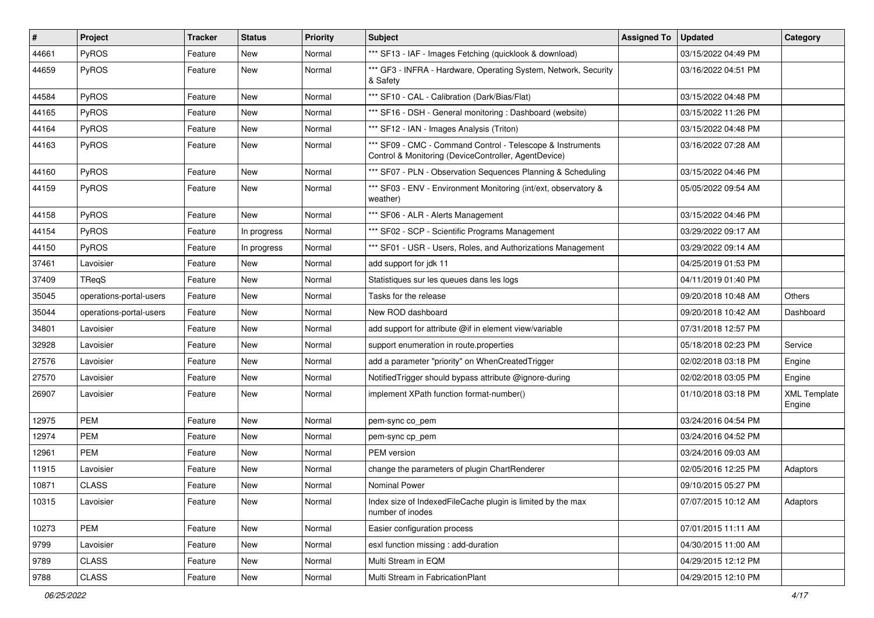| $\vert$ # | Project                 | Tracker | <b>Status</b> | <b>Priority</b> | <b>Subject</b>                                                                                                     | <b>Assigned To</b> | <b>Updated</b>      | Category                      |
|-----------|-------------------------|---------|---------------|-----------------|--------------------------------------------------------------------------------------------------------------------|--------------------|---------------------|-------------------------------|
| 44661     | PyROS                   | Feature | New           | Normal          | *** SF13 - IAF - Images Fetching (quicklook & download)                                                            |                    | 03/15/2022 04:49 PM |                               |
| 44659     | PyROS                   | Feature | New           | Normal          | *** GF3 - INFRA - Hardware, Operating System, Network, Security<br>& Safety                                        |                    | 03/16/2022 04:51 PM |                               |
| 44584     | PyROS                   | Feature | New           | Normal          | *** SF10 - CAL - Calibration (Dark/Bias/Flat)                                                                      |                    | 03/15/2022 04:48 PM |                               |
| 44165     | PyROS                   | Feature | New           | Normal          | *** SF16 - DSH - General monitoring : Dashboard (website)                                                          |                    | 03/15/2022 11:26 PM |                               |
| 44164     | PyROS                   | Feature | New           | Normal          | *** SF12 - IAN - Images Analysis (Triton)                                                                          |                    | 03/15/2022 04:48 PM |                               |
| 44163     | PyROS                   | Feature | New           | Normal          | *** SF09 - CMC - Command Control - Telescope & Instruments<br>Control & Monitoring (DeviceController, AgentDevice) |                    | 03/16/2022 07:28 AM |                               |
| 44160     | PyROS                   | Feature | New           | Normal          | *** SF07 - PLN - Observation Sequences Planning & Scheduling                                                       |                    | 03/15/2022 04:46 PM |                               |
| 44159     | PyROS                   | Feature | New           | Normal          | *** SF03 - ENV - Environment Monitoring (int/ext, observatory &<br>weather)                                        |                    | 05/05/2022 09:54 AM |                               |
| 44158     | PyROS                   | Feature | New           | Normal          | *** SF06 - ALR - Alerts Management                                                                                 |                    | 03/15/2022 04:46 PM |                               |
| 44154     | PyROS                   | Feature | In progress   | Normal          | *** SF02 - SCP - Scientific Programs Management                                                                    |                    | 03/29/2022 09:17 AM |                               |
| 44150     | PyROS                   | Feature | In progress   | Normal          | *** SF01 - USR - Users, Roles, and Authorizations Management                                                       |                    | 03/29/2022 09:14 AM |                               |
| 37461     | Lavoisier               | Feature | New           | Normal          | add support for jdk 11                                                                                             |                    | 04/25/2019 01:53 PM |                               |
| 37409     | TReqS                   | Feature | New           | Normal          | Statistiques sur les queues dans les logs                                                                          |                    | 04/11/2019 01:40 PM |                               |
| 35045     | operations-portal-users | Feature | New           | Normal          | Tasks for the release                                                                                              |                    | 09/20/2018 10:48 AM | Others                        |
| 35044     | operations-portal-users | Feature | New           | Normal          | New ROD dashboard                                                                                                  |                    | 09/20/2018 10:42 AM | Dashboard                     |
| 34801     | Lavoisier               | Feature | New           | Normal          | add support for attribute @if in element view/variable                                                             |                    | 07/31/2018 12:57 PM |                               |
| 32928     | Lavoisier               | Feature | New           | Normal          | support enumeration in route.properties                                                                            |                    | 05/18/2018 02:23 PM | Service                       |
| 27576     | Lavoisier               | Feature | New           | Normal          | add a parameter "priority" on WhenCreatedTrigger                                                                   |                    | 02/02/2018 03:18 PM | Engine                        |
| 27570     | Lavoisier               | Feature | New           | Normal          | Notified Trigger should bypass attribute @ignore-during                                                            |                    | 02/02/2018 03:05 PM | Engine                        |
| 26907     | Lavoisier               | Feature | New           | Normal          | implement XPath function format-number()                                                                           |                    | 01/10/2018 03:18 PM | <b>XML Template</b><br>Engine |
| 12975     | <b>PEM</b>              | Feature | New           | Normal          | pem-sync co_pem                                                                                                    |                    | 03/24/2016 04:54 PM |                               |
| 12974     | <b>PEM</b>              | Feature | New           | Normal          | pem-sync cp_pem                                                                                                    |                    | 03/24/2016 04:52 PM |                               |
| 12961     | <b>PEM</b>              | Feature | New           | Normal          | PEM version                                                                                                        |                    | 03/24/2016 09:03 AM |                               |
| 11915     | Lavoisier               | Feature | New           | Normal          | change the parameters of plugin ChartRenderer                                                                      |                    | 02/05/2016 12:25 PM | Adaptors                      |
| 10871     | <b>CLASS</b>            | Feature | New           | Normal          | Nominal Power                                                                                                      |                    | 09/10/2015 05:27 PM |                               |
| 10315     | Lavoisier               | Feature | New           | Normal          | Index size of IndexedFileCache plugin is limited by the max<br>number of inodes                                    |                    | 07/07/2015 10:12 AM | Adaptors                      |
| 10273     | PEM                     | Feature | New           | Normal          | Easier configuration process                                                                                       |                    | 07/01/2015 11:11 AM |                               |
| 9799      | Lavoisier               | Feature | New           | Normal          | esxl function missing : add-duration                                                                               |                    | 04/30/2015 11:00 AM |                               |
| 9789      | <b>CLASS</b>            | Feature | New           | Normal          | Multi Stream in EQM                                                                                                |                    | 04/29/2015 12:12 PM |                               |
| 9788      | CLASS                   | Feature | New           | Normal          | Multi Stream in FabricationPlant                                                                                   |                    | 04/29/2015 12:10 PM |                               |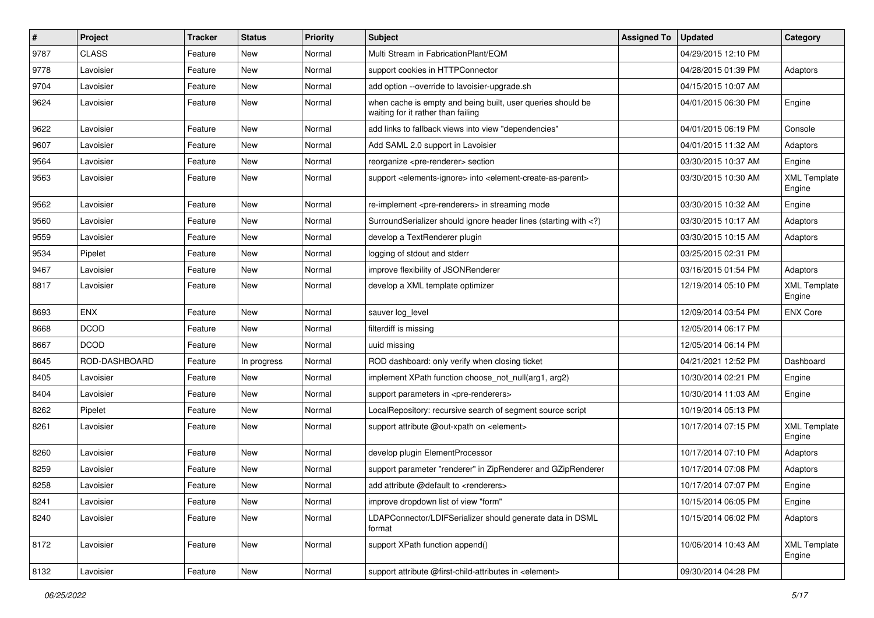| #    | Project       | <b>Tracker</b> | <b>Status</b> | <b>Priority</b> | Subject                                                                                                                     | <b>Assigned To</b> | <b>Updated</b>      | Category                      |
|------|---------------|----------------|---------------|-----------------|-----------------------------------------------------------------------------------------------------------------------------|--------------------|---------------------|-------------------------------|
| 9787 | <b>CLASS</b>  | Feature        | <b>New</b>    | Normal          | Multi Stream in FabricationPlant/EQM                                                                                        |                    | 04/29/2015 12:10 PM |                               |
| 9778 | Lavoisier     | Feature        | <b>New</b>    | Normal          | support cookies in HTTPConnector                                                                                            |                    | 04/28/2015 01:39 PM | Adaptors                      |
| 9704 | Lavoisier     | Feature        | New           | Normal          | add option --override to lavoisier-upgrade.sh                                                                               |                    | 04/15/2015 10:07 AM |                               |
| 9624 | Lavoisier     | Feature        | New           | Normal          | when cache is empty and being built, user queries should be<br>waiting for it rather than failing                           |                    | 04/01/2015 06:30 PM | Engine                        |
| 9622 | Lavoisier     | Feature        | <b>New</b>    | Normal          | add links to fallback views into view "dependencies"                                                                        |                    | 04/01/2015 06:19 PM | Console                       |
| 9607 | Lavoisier     | Feature        | <b>New</b>    | Normal          | Add SAML 2.0 support in Lavoisier                                                                                           |                    | 04/01/2015 11:32 AM | Adaptors                      |
| 9564 | Lavoisier     | Feature        | New           | Normal          | reorganize <pre-renderer> section</pre-renderer>                                                                            |                    | 03/30/2015 10:37 AM | Engine                        |
| 9563 | Lavoisier     | Feature        | New           | Normal          | support <elements-ignore> into <element-create-as-parent></element-create-as-parent></elements-ignore>                      |                    | 03/30/2015 10:30 AM | <b>XML Template</b><br>Engine |
| 9562 | Lavoisier     | Feature        | <b>New</b>    | Normal          | re-implement <pre-renderers> in streaming mode</pre-renderers>                                                              |                    | 03/30/2015 10:32 AM | Engine                        |
| 9560 | Lavoisier     | Feature        | <b>New</b>    | Normal          | SurroundSerializer should ignore header lines (starting with )</td <td></td> <td>03/30/2015 10:17 AM</td> <td>Adaptors</td> |                    | 03/30/2015 10:17 AM | Adaptors                      |
| 9559 | Lavoisier     | Feature        | New           | Normal          | develop a TextRenderer plugin                                                                                               |                    | 03/30/2015 10:15 AM | Adaptors                      |
| 9534 | Pipelet       | Feature        | New           | Normal          | logging of stdout and stderr                                                                                                |                    | 03/25/2015 02:31 PM |                               |
| 9467 | Lavoisier     | Feature        | <b>New</b>    | Normal          | improve flexibility of JSONRenderer                                                                                         |                    | 03/16/2015 01:54 PM | Adaptors                      |
| 8817 | Lavoisier     | Feature        | New           | Normal          | develop a XML template optimizer                                                                                            |                    | 12/19/2014 05:10 PM | <b>XML Template</b><br>Engine |
| 8693 | <b>ENX</b>    | Feature        | <b>New</b>    | Normal          | sauver log_level                                                                                                            |                    | 12/09/2014 03:54 PM | <b>ENX Core</b>               |
| 8668 | <b>DCOD</b>   | Feature        | New           | Normal          | filterdiff is missing                                                                                                       |                    | 12/05/2014 06:17 PM |                               |
| 8667 | <b>DCOD</b>   | Feature        | <b>New</b>    | Normal          | uuid missing                                                                                                                |                    | 12/05/2014 06:14 PM |                               |
| 8645 | ROD-DASHBOARD | Feature        | In progress   | Normal          | ROD dashboard: only verify when closing ticket                                                                              |                    | 04/21/2021 12:52 PM | Dashboard                     |
| 8405 | Lavoisier     | Feature        | New           | Normal          | implement XPath function choose_not_null(arg1, arg2)                                                                        |                    | 10/30/2014 02:21 PM | Engine                        |
| 8404 | Lavoisier     | Feature        | <b>New</b>    | Normal          | support parameters in <pre-renderers></pre-renderers>                                                                       |                    | 10/30/2014 11:03 AM | Engine                        |
| 8262 | Pipelet       | Feature        | New           | Normal          | LocalRepository: recursive search of segment source script                                                                  |                    | 10/19/2014 05:13 PM |                               |
| 8261 | Lavoisier     | Feature        | New           | Normal          | support attribute @out-xpath on <element></element>                                                                         |                    | 10/17/2014 07:15 PM | <b>XML Template</b><br>Engine |
| 8260 | Lavoisier     | Feature        | <b>New</b>    | Normal          | develop plugin ElementProcessor                                                                                             |                    | 10/17/2014 07:10 PM | Adaptors                      |
| 8259 | Lavoisier     | Feature        | <b>New</b>    | Normal          | support parameter "renderer" in ZipRenderer and GZipRenderer                                                                |                    | 10/17/2014 07:08 PM | Adaptors                      |
| 8258 | Lavoisier     | Feature        | New           | Normal          | add attribute @default to <renderers></renderers>                                                                           |                    | 10/17/2014 07:07 PM | Engine                        |
| 8241 | Lavoisier     | Feature        | New           | Normal          | improve dropdown list of view "form"                                                                                        |                    | 10/15/2014 06:05 PM | Engine                        |
| 8240 | Lavoisier     | Feature        | New           | Normal          | LDAPConnector/LDIFSerializer should generate data in DSML<br>format                                                         |                    | 10/15/2014 06:02 PM | Adaptors                      |
| 8172 | Lavoisier     | Feature        | New           | Normal          | support XPath function append()                                                                                             |                    | 10/06/2014 10:43 AM | <b>XML Template</b><br>Engine |
| 8132 | Lavoisier     | Feature        | New           | Normal          | support attribute @first-child-attributes in <element></element>                                                            |                    | 09/30/2014 04:28 PM |                               |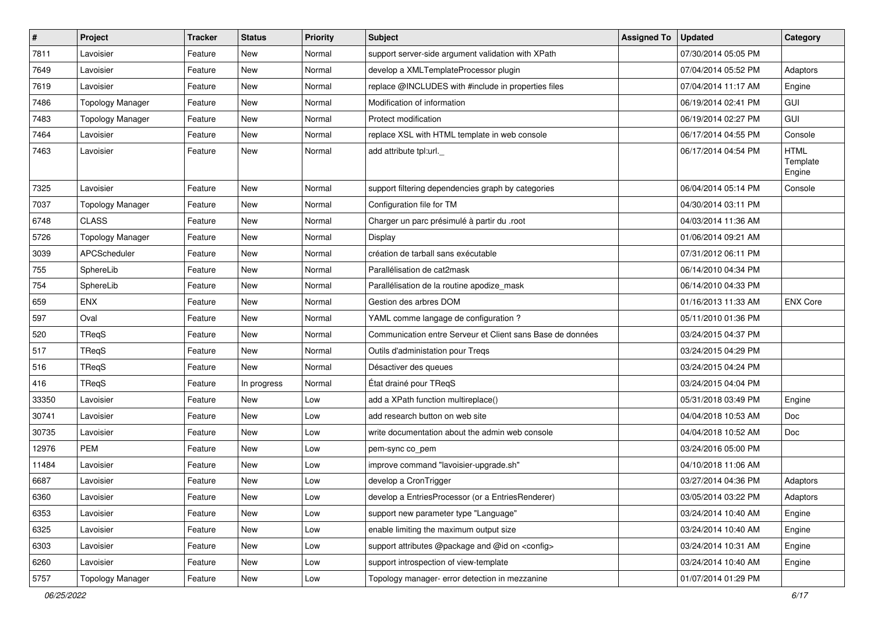| $\vert$ # | Project                 | Tracker | <b>Status</b> | <b>Priority</b> | <b>Subject</b>                                             | <b>Assigned To</b> | <b>Updated</b>      | Category                          |
|-----------|-------------------------|---------|---------------|-----------------|------------------------------------------------------------|--------------------|---------------------|-----------------------------------|
| 7811      | Lavoisier               | Feature | New           | Normal          | support server-side argument validation with XPath         |                    | 07/30/2014 05:05 PM |                                   |
| 7649      | Lavoisier               | Feature | New           | Normal          | develop a XMLTemplateProcessor plugin                      |                    | 07/04/2014 05:52 PM | Adaptors                          |
| 7619      | Lavoisier               | Feature | New           | Normal          | replace @INCLUDES with #include in properties files        |                    | 07/04/2014 11:17 AM | Engine                            |
| 7486      | <b>Topology Manager</b> | Feature | New           | Normal          | Modification of information                                |                    | 06/19/2014 02:41 PM | GUI                               |
| 7483      | <b>Topology Manager</b> | Feature | New           | Normal          | Protect modification                                       |                    | 06/19/2014 02:27 PM | GUI                               |
| 7464      | Lavoisier               | Feature | New           | Normal          | replace XSL with HTML template in web console              |                    | 06/17/2014 04:55 PM | Console                           |
| 7463      | Lavoisier               | Feature | New           | Normal          | add attribute tpl:url.                                     |                    | 06/17/2014 04:54 PM | <b>HTML</b><br>Template<br>Engine |
| 7325      | Lavoisier               | Feature | New           | Normal          | support filtering dependencies graph by categories         |                    | 06/04/2014 05:14 PM | Console                           |
| 7037      | Topology Manager        | Feature | New           | Normal          | Configuration file for TM                                  |                    | 04/30/2014 03:11 PM |                                   |
| 6748      | <b>CLASS</b>            | Feature | New           | Normal          | Charger un parc présimulé à partir du .root                |                    | 04/03/2014 11:36 AM |                                   |
| 5726      | <b>Topology Manager</b> | Feature | New           | Normal          | Display                                                    |                    | 01/06/2014 09:21 AM |                                   |
| 3039      | APCScheduler            | Feature | New           | Normal          | création de tarball sans exécutable                        |                    | 07/31/2012 06:11 PM |                                   |
| 755       | SphereLib               | Feature | <b>New</b>    | Normal          | Parallélisation de cat2mask                                |                    | 06/14/2010 04:34 PM |                                   |
| 754       | SphereLib               | Feature | New           | Normal          | Parallélisation de la routine apodize_mask                 |                    | 06/14/2010 04:33 PM |                                   |
| 659       | <b>ENX</b>              | Feature | New           | Normal          | Gestion des arbres DOM                                     |                    | 01/16/2013 11:33 AM | <b>ENX Core</b>                   |
| 597       | Oval                    | Feature | New           | Normal          | YAML comme langage de configuration ?                      |                    | 05/11/2010 01:36 PM |                                   |
| 520       | TReqS                   | Feature | New           | Normal          | Communication entre Serveur et Client sans Base de données |                    | 03/24/2015 04:37 PM |                                   |
| 517       | TReqS                   | Feature | New           | Normal          | Outils d'administation pour Treqs                          |                    | 03/24/2015 04:29 PM |                                   |
| 516       | <b>TReqS</b>            | Feature | New           | Normal          | Désactiver des queues                                      |                    | 03/24/2015 04:24 PM |                                   |
| 416       | TReqS                   | Feature | In progress   | Normal          | État drainé pour TReqS                                     |                    | 03/24/2015 04:04 PM |                                   |
| 33350     | Lavoisier               | Feature | New           | Low             | add a XPath function multireplace()                        |                    | 05/31/2018 03:49 PM | Engine                            |
| 30741     | Lavoisier               | Feature | New           | Low             | add research button on web site                            |                    | 04/04/2018 10:53 AM | Doc                               |
| 30735     | Lavoisier               | Feature | New           | Low             | write documentation about the admin web console            |                    | 04/04/2018 10:52 AM | Doc                               |
| 12976     | <b>PEM</b>              | Feature | New           | Low             | pem-sync co_pem                                            |                    | 03/24/2016 05:00 PM |                                   |
| 11484     | Lavoisier               | Feature | New           | Low             | improve command "lavoisier-upgrade.sh"                     |                    | 04/10/2018 11:06 AM |                                   |
| 6687      | Lavoisier               | Feature | New           | Low             | develop a CronTrigger                                      |                    | 03/27/2014 04:36 PM | Adaptors                          |
| 6360      | Lavoisier               | Feature | New           | Low             | develop a EntriesProcessor (or a EntriesRenderer)          |                    | 03/05/2014 03:22 PM | Adaptors                          |
| 6353      | Lavoisier               | Feature | New           | Low             | support new parameter type "Language"                      |                    | 03/24/2014 10:40 AM | Engine                            |
| 6325      | Lavoisier               | Feature | New           | Low             | enable limiting the maximum output size                    |                    | 03/24/2014 10:40 AM | Engine                            |
| 6303      | Lavoisier               | Feature | New           | Low             | support attributes @package and @id on <config></config>   |                    | 03/24/2014 10:31 AM | Engine                            |
| 6260      | Lavoisier               | Feature | New           | Low             | support introspection of view-template                     |                    | 03/24/2014 10:40 AM | Engine                            |
| 5757      | <b>Topology Manager</b> | Feature | New           | Low             | Topology manager- error detection in mezzanine             |                    | 01/07/2014 01:29 PM |                                   |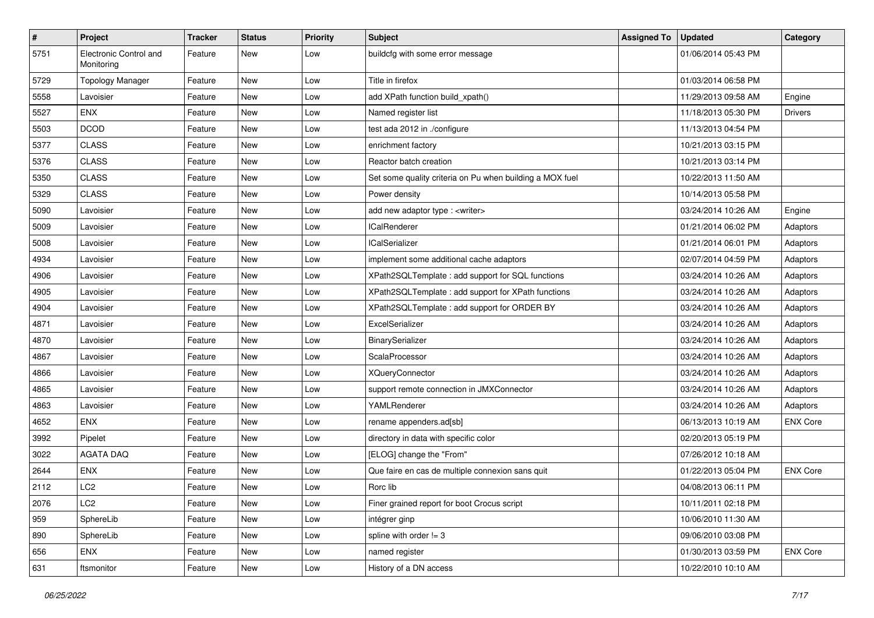| $\sharp$ | Project                              | Tracker | <b>Status</b> | <b>Priority</b> | <b>Subject</b>                                           | <b>Assigned To</b> | <b>Updated</b>      | Category        |
|----------|--------------------------------------|---------|---------------|-----------------|----------------------------------------------------------|--------------------|---------------------|-----------------|
| 5751     | Electronic Control and<br>Monitoring | Feature | New           | Low             | buildcfg with some error message                         |                    | 01/06/2014 05:43 PM |                 |
| 5729     | <b>Topology Manager</b>              | Feature | New           | Low             | Title in firefox                                         |                    | 01/03/2014 06:58 PM |                 |
| 5558     | Lavoisier                            | Feature | <b>New</b>    | Low             | add XPath function build_xpath()                         |                    | 11/29/2013 09:58 AM | Engine          |
| 5527     | <b>ENX</b>                           | Feature | New           | Low             | Named register list                                      |                    | 11/18/2013 05:30 PM | Drivers         |
| 5503     | <b>DCOD</b>                          | Feature | <b>New</b>    | Low             | test ada 2012 in ./configure                             |                    | 11/13/2013 04:54 PM |                 |
| 5377     | <b>CLASS</b>                         | Feature | <b>New</b>    | Low             | enrichment factory                                       |                    | 10/21/2013 03:15 PM |                 |
| 5376     | <b>CLASS</b>                         | Feature | New           | Low             | Reactor batch creation                                   |                    | 10/21/2013 03:14 PM |                 |
| 5350     | <b>CLASS</b>                         | Feature | <b>New</b>    | Low             | Set some quality criteria on Pu when building a MOX fuel |                    | 10/22/2013 11:50 AM |                 |
| 5329     | <b>CLASS</b>                         | Feature | <b>New</b>    | Low             | Power density                                            |                    | 10/14/2013 05:58 PM |                 |
| 5090     | Lavoisier                            | Feature | <b>New</b>    | Low             | add new adaptor type : < writer>                         |                    | 03/24/2014 10:26 AM | Engine          |
| 5009     | Lavoisier                            | Feature | New           | Low             | <b>ICalRenderer</b>                                      |                    | 01/21/2014 06:02 PM | Adaptors        |
| 5008     | Lavoisier                            | Feature | New           | Low             | <b>ICalSerializer</b>                                    |                    | 01/21/2014 06:01 PM | Adaptors        |
| 4934     | Lavoisier                            | Feature | New           | Low             | implement some additional cache adaptors                 |                    | 02/07/2014 04:59 PM | Adaptors        |
| 4906     | Lavoisier                            | Feature | New           | Low             | XPath2SQLTemplate: add support for SQL functions         |                    | 03/24/2014 10:26 AM | Adaptors        |
| 4905     | Lavoisier                            | Feature | New           | Low             | XPath2SQLTemplate : add support for XPath functions      |                    | 03/24/2014 10:26 AM | Adaptors        |
| 4904     | Lavoisier                            | Feature | <b>New</b>    | Low             | XPath2SQLTemplate : add support for ORDER BY             |                    | 03/24/2014 10:26 AM | Adaptors        |
| 4871     | Lavoisier                            | Feature | New           | Low             | ExcelSerializer                                          |                    | 03/24/2014 10:26 AM | Adaptors        |
| 4870     | Lavoisier                            | Feature | <b>New</b>    | Low             | BinarySerializer                                         |                    | 03/24/2014 10:26 AM | Adaptors        |
| 4867     | Lavoisier                            | Feature | <b>New</b>    | Low             | ScalaProcessor                                           |                    | 03/24/2014 10:26 AM | Adaptors        |
| 4866     | Lavoisier                            | Feature | New           | Low             | <b>XQueryConnector</b>                                   |                    | 03/24/2014 10:26 AM | Adaptors        |
| 4865     | Lavoisier                            | Feature | <b>New</b>    | Low             | support remote connection in JMXConnector                |                    | 03/24/2014 10:26 AM | Adaptors        |
| 4863     | Lavoisier                            | Feature | New           | Low             | YAMLRenderer                                             |                    | 03/24/2014 10:26 AM | Adaptors        |
| 4652     | <b>ENX</b>                           | Feature | <b>New</b>    | Low             | rename appenders.ad[sb]                                  |                    | 06/13/2013 10:19 AM | <b>ENX Core</b> |
| 3992     | Pipelet                              | Feature | <b>New</b>    | Low             | directory in data with specific color                    |                    | 02/20/2013 05:19 PM |                 |
| 3022     | <b>AGATA DAQ</b>                     | Feature | New           | Low             | [ELOG] change the "From"                                 |                    | 07/26/2012 10:18 AM |                 |
| 2644     | <b>ENX</b>                           | Feature | <b>New</b>    | Low             | Que faire en cas de multiple connexion sans quit         |                    | 01/22/2013 05:04 PM | <b>ENX Core</b> |
| 2112     | LC <sub>2</sub>                      | Feature | <b>New</b>    | Low             | Rorc lib                                                 |                    | 04/08/2013 06:11 PM |                 |
| 2076     | LC <sub>2</sub>                      | Feature | New           | Low             | Finer grained report for boot Crocus script              |                    | 10/11/2011 02:18 PM |                 |
| 959      | SphereLib                            | Feature | New           | Low             | intégrer ginp                                            |                    | 10/06/2010 11:30 AM |                 |
| 890      | SphereLib                            | Feature | New           | Low             | spline with order $!= 3$                                 |                    | 09/06/2010 03:08 PM |                 |
| 656      | ENX                                  | Feature | New           | Low             | named register                                           |                    | 01/30/2013 03:59 PM | <b>ENX Core</b> |
| 631      | ftsmonitor                           | Feature | New           | Low             | History of a DN access                                   |                    | 10/22/2010 10:10 AM |                 |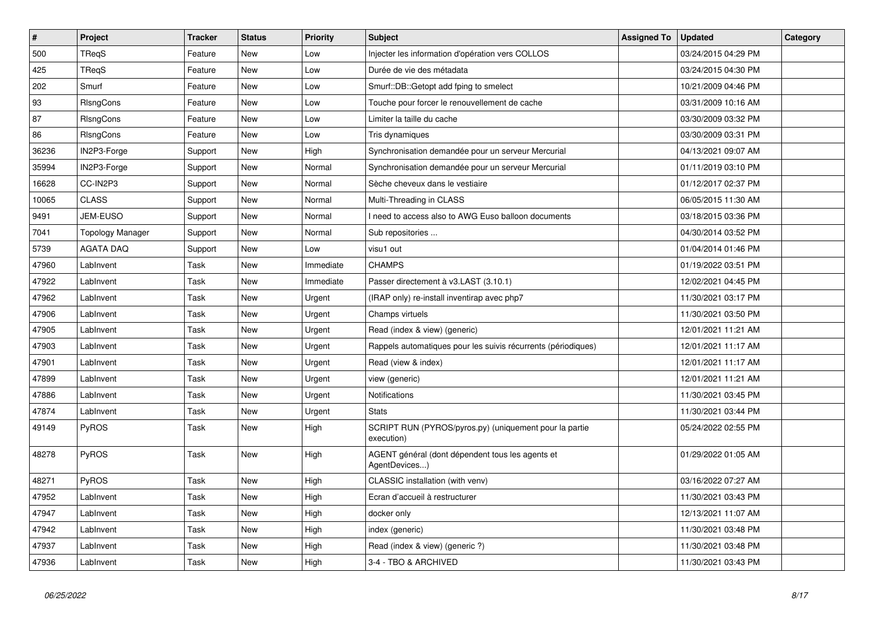| $\pmb{\#}$ | Project                 | <b>Tracker</b> | <b>Status</b> | <b>Priority</b> | <b>Subject</b>                                                       | <b>Assigned To</b> | <b>Updated</b>      | Category |
|------------|-------------------------|----------------|---------------|-----------------|----------------------------------------------------------------------|--------------------|---------------------|----------|
| 500        | <b>TRegS</b>            | Feature        | New           | Low             | Injecter les information d'opération vers COLLOS                     |                    | 03/24/2015 04:29 PM |          |
| 425        | TReqS                   | Feature        | <b>New</b>    | Low             | Durée de vie des métadata                                            |                    | 03/24/2015 04:30 PM |          |
| 202        | Smurf                   | Feature        | New           | Low             | Smurf::DB::Getopt add fping to smelect                               |                    | 10/21/2009 04:46 PM |          |
| 93         | RIsngCons               | Feature        | <b>New</b>    | Low             | Touche pour forcer le renouvellement de cache                        |                    | 03/31/2009 10:16 AM |          |
| 87         | RIsngCons               | Feature        | <b>New</b>    | Low             | Limiter la taille du cache                                           |                    | 03/30/2009 03:32 PM |          |
| 86         | RIsngCons               | Feature        | <b>New</b>    | Low             | Tris dynamiques                                                      |                    | 03/30/2009 03:31 PM |          |
| 36236      | IN2P3-Forge             | Support        | <b>New</b>    | High            | Synchronisation demandée pour un serveur Mercurial                   |                    | 04/13/2021 09:07 AM |          |
| 35994      | IN2P3-Forge             | Support        | <b>New</b>    | Normal          | Synchronisation demandée pour un serveur Mercurial                   |                    | 01/11/2019 03:10 PM |          |
| 16628      | CC-IN2P3                | Support        | New           | Normal          | Sèche cheveux dans le vestiaire                                      |                    | 01/12/2017 02:37 PM |          |
| 10065      | <b>CLASS</b>            | Support        | <b>New</b>    | Normal          | Multi-Threading in CLASS                                             |                    | 06/05/2015 11:30 AM |          |
| 9491       | <b>JEM-EUSO</b>         | Support        | <b>New</b>    | Normal          | I need to access also to AWG Euso balloon documents                  |                    | 03/18/2015 03:36 PM |          |
| 7041       | <b>Topology Manager</b> | Support        | <b>New</b>    | Normal          | Sub repositories                                                     |                    | 04/30/2014 03:52 PM |          |
| 5739       | <b>AGATA DAQ</b>        | Support        | New           | Low             | visu1 out                                                            |                    | 01/04/2014 01:46 PM |          |
| 47960      | LabInvent               | Task           | <b>New</b>    | Immediate       | <b>CHAMPS</b>                                                        |                    | 01/19/2022 03:51 PM |          |
| 47922      | LabInvent               | Task           | New           | Immediate       | Passer directement à v3.LAST (3.10.1)                                |                    | 12/02/2021 04:45 PM |          |
| 47962      | LabInvent               | Task           | <b>New</b>    | Urgent          | (IRAP only) re-install inventirap avec php7                          |                    | 11/30/2021 03:17 PM |          |
| 47906      | LabInvent               | Task           | <b>New</b>    | Urgent          | Champs virtuels                                                      |                    | 11/30/2021 03:50 PM |          |
| 47905      | LabInvent               | Task           | <b>New</b>    | Urgent          | Read (index & view) (generic)                                        |                    | 12/01/2021 11:21 AM |          |
| 47903      | LabInvent               | Task           | New           | Urgent          | Rappels automatiques pour les suivis récurrents (périodiques)        |                    | 12/01/2021 11:17 AM |          |
| 47901      | LabInvent               | Task           | New           | Urgent          | Read (view & index)                                                  |                    | 12/01/2021 11:17 AM |          |
| 47899      | LabInvent               | Task           | New           | Urgent          | view (generic)                                                       |                    | 12/01/2021 11:21 AM |          |
| 47886      | LabInvent               | Task           | New           | Urgent          | Notifications                                                        |                    | 11/30/2021 03:45 PM |          |
| 47874      | LabInvent               | Task           | New           | Urgent          | <b>Stats</b>                                                         |                    | 11/30/2021 03:44 PM |          |
| 49149      | <b>PyROS</b>            | Task           | <b>New</b>    | High            | SCRIPT RUN (PYROS/pyros.py) (uniquement pour la partie<br>execution) |                    | 05/24/2022 02:55 PM |          |
| 48278      | <b>PyROS</b>            | Task           | <b>New</b>    | High            | AGENT général (dont dépendent tous les agents et<br>AgentDevices)    |                    | 01/29/2022 01:05 AM |          |
| 48271      | <b>PyROS</b>            | Task           | <b>New</b>    | High            | CLASSIC installation (with venv)                                     |                    | 03/16/2022 07:27 AM |          |
| 47952      | LabInvent               | Task           | <b>New</b>    | High            | Ecran d'accueil à restructurer                                       |                    | 11/30/2021 03:43 PM |          |
| 47947      | LabInvent               | Task           | New           | High            | docker only                                                          |                    | 12/13/2021 11:07 AM |          |
| 47942      | LabInvent               | Task           | <b>New</b>    | High            | index (generic)                                                      |                    | 11/30/2021 03:48 PM |          |
| 47937      | LabInvent               | Task           | <b>New</b>    | High            | Read (index & view) (generic ?)                                      |                    | 11/30/2021 03:48 PM |          |
| 47936      | LabInvent               | Task           | <b>New</b>    | High            | 3-4 - TBO & ARCHIVED                                                 |                    | 11/30/2021 03:43 PM |          |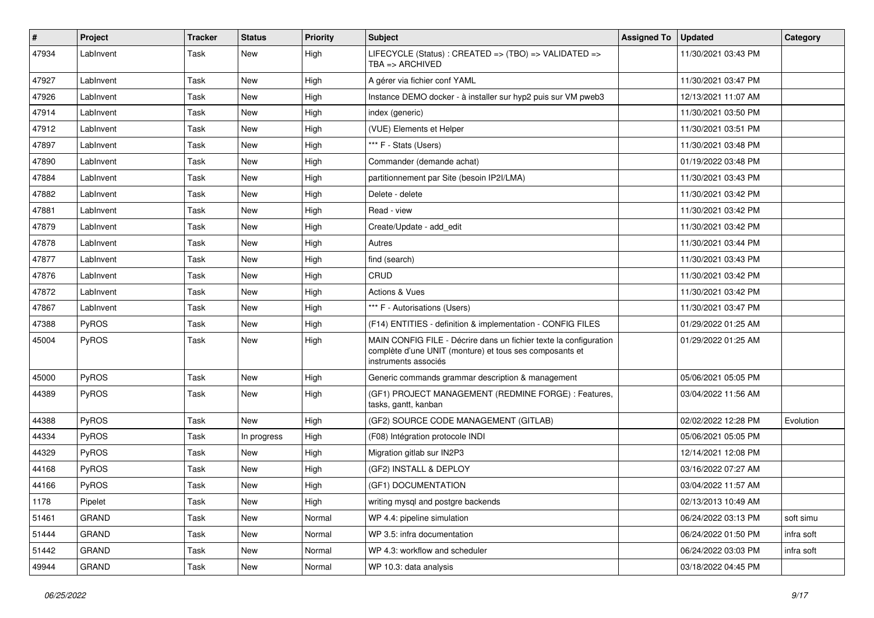| #     | Project      | <b>Tracker</b> | <b>Status</b> | <b>Priority</b> | <b>Subject</b>                                                                                                                                       | <b>Assigned To</b> | <b>Updated</b>      | Category   |
|-------|--------------|----------------|---------------|-----------------|------------------------------------------------------------------------------------------------------------------------------------------------------|--------------------|---------------------|------------|
| 47934 | LabInvent    | Task           | New           | High            | LIFECYCLE (Status) : CREATED => (TBO) => VALIDATED =><br>TBA => ARCHIVED                                                                             |                    | 11/30/2021 03:43 PM |            |
| 47927 | LabInvent    | Task           | New           | High            | A gérer via fichier conf YAML                                                                                                                        |                    | 11/30/2021 03:47 PM |            |
| 47926 | LabInvent    | Task           | New           | High            | Instance DEMO docker - à installer sur hyp2 puis sur VM pweb3                                                                                        |                    | 12/13/2021 11:07 AM |            |
| 47914 | LabInvent    | Task           | New           | High            | index (generic)                                                                                                                                      |                    | 11/30/2021 03:50 PM |            |
| 47912 | LabInvent    | Task           | New           | High            | (VUE) Elements et Helper                                                                                                                             |                    | 11/30/2021 03:51 PM |            |
| 47897 | LabInvent    | Task           | New           | High            | *** F - Stats (Users)                                                                                                                                |                    | 11/30/2021 03:48 PM |            |
| 47890 | LabInvent    | Task           | New           | High            | Commander (demande achat)                                                                                                                            |                    | 01/19/2022 03:48 PM |            |
| 47884 | LabInvent    | Task           | New           | High            | partitionnement par Site (besoin IP2I/LMA)                                                                                                           |                    | 11/30/2021 03:43 PM |            |
| 47882 | LabInvent    | Task           | New           | High            | Delete - delete                                                                                                                                      |                    | 11/30/2021 03:42 PM |            |
| 47881 | LabInvent    | Task           | New           | High            | Read - view                                                                                                                                          |                    | 11/30/2021 03:42 PM |            |
| 47879 | LabInvent    | Task           | New           | High            | Create/Update - add edit                                                                                                                             |                    | 11/30/2021 03:42 PM |            |
| 47878 | LabInvent    | Task           | New           | High            | Autres                                                                                                                                               |                    | 11/30/2021 03:44 PM |            |
| 47877 | LabInvent    | Task           | New           | High            | find (search)                                                                                                                                        |                    | 11/30/2021 03:43 PM |            |
| 47876 | LabInvent    | Task           | New           | High            | CRUD                                                                                                                                                 |                    | 11/30/2021 03:42 PM |            |
| 47872 | LabInvent    | Task           | New           | High            | Actions & Vues                                                                                                                                       |                    | 11/30/2021 03:42 PM |            |
| 47867 | LabInvent    | Task           | New           | High            | *** F - Autorisations (Users)                                                                                                                        |                    | 11/30/2021 03:47 PM |            |
| 47388 | <b>PyROS</b> | Task           | New           | High            | (F14) ENTITIES - definition & implementation - CONFIG FILES                                                                                          |                    | 01/29/2022 01:25 AM |            |
| 45004 | <b>PyROS</b> | Task           | New           | High            | MAIN CONFIG FILE - Décrire dans un fichier texte la configuration<br>complète d'une UNIT (monture) et tous ses composants et<br>instruments associés |                    | 01/29/2022 01:25 AM |            |
| 45000 | <b>PyROS</b> | Task           | New           | High            | Generic commands grammar description & management                                                                                                    |                    | 05/06/2021 05:05 PM |            |
| 44389 | <b>PyROS</b> | Task           | New           | High            | (GF1) PROJECT MANAGEMENT (REDMINE FORGE) : Features,<br>tasks, gantt, kanban                                                                         |                    | 03/04/2022 11:56 AM |            |
| 44388 | <b>PyROS</b> | Task           | New           | High            | (GF2) SOURCE CODE MANAGEMENT (GITLAB)                                                                                                                |                    | 02/02/2022 12:28 PM | Evolution  |
| 44334 | <b>PyROS</b> | Task           | In progress   | High            | (F08) Intégration protocole INDI                                                                                                                     |                    | 05/06/2021 05:05 PM |            |
| 44329 | <b>PyROS</b> | Task           | New           | High            | Migration gitlab sur IN2P3                                                                                                                           |                    | 12/14/2021 12:08 PM |            |
| 44168 | <b>PyROS</b> | Task           | New           | High            | (GF2) INSTALL & DEPLOY                                                                                                                               |                    | 03/16/2022 07:27 AM |            |
| 44166 | <b>PyROS</b> | Task           | New           | High            | (GF1) DOCUMENTATION                                                                                                                                  |                    | 03/04/2022 11:57 AM |            |
| 1178  | Pipelet      | Task           | New           | High            | writing mysql and postgre backends                                                                                                                   |                    | 02/13/2013 10:49 AM |            |
| 51461 | GRAND        | Task           | New           | Normal          | WP 4.4: pipeline simulation                                                                                                                          |                    | 06/24/2022 03:13 PM | soft simu  |
| 51444 | <b>GRAND</b> | Task           | New           | Normal          | WP 3.5: infra documentation                                                                                                                          |                    | 06/24/2022 01:50 PM | infra soft |
| 51442 | <b>GRAND</b> | Task           | New           | Normal          | WP 4.3: workflow and scheduler                                                                                                                       |                    | 06/24/2022 03:03 PM | infra soft |
| 49944 | GRAND        | Task           | New           | Normal          | WP 10.3: data analysis                                                                                                                               |                    | 03/18/2022 04:45 PM |            |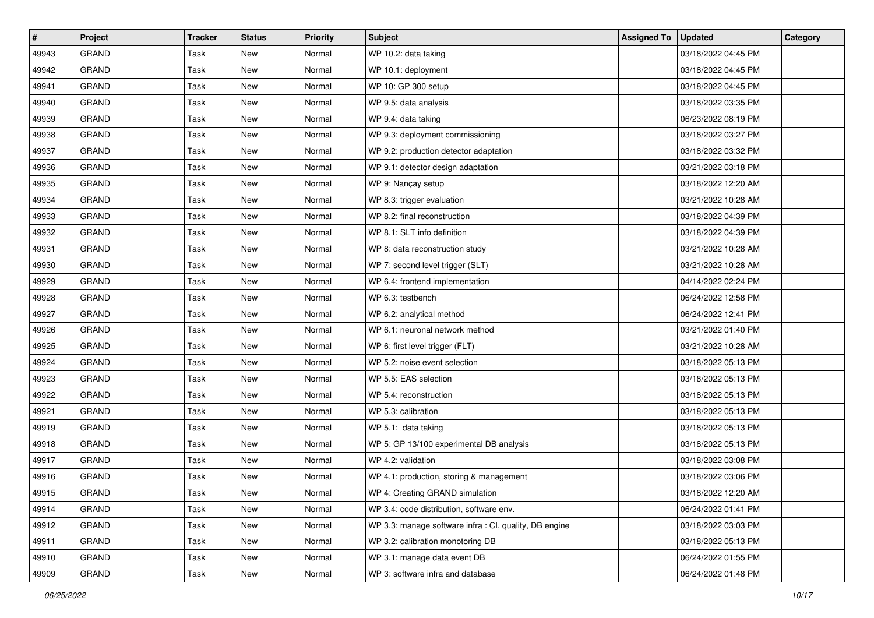| $\sharp$ | Project      | Tracker | <b>Status</b> | <b>Priority</b> | <b>Subject</b>                                         | <b>Assigned To</b> | <b>Updated</b>      | Category |
|----------|--------------|---------|---------------|-----------------|--------------------------------------------------------|--------------------|---------------------|----------|
| 49943    | <b>GRAND</b> | Task    | New           | Normal          | WP 10.2: data taking                                   |                    | 03/18/2022 04:45 PM |          |
| 49942    | <b>GRAND</b> | Task    | New           | Normal          | WP 10.1: deployment                                    |                    | 03/18/2022 04:45 PM |          |
| 49941    | <b>GRAND</b> | Task    | New           | Normal          | WP 10: GP 300 setup                                    |                    | 03/18/2022 04:45 PM |          |
| 49940    | <b>GRAND</b> | Task    | New           | Normal          | WP 9.5: data analysis                                  |                    | 03/18/2022 03:35 PM |          |
| 49939    | <b>GRAND</b> | Task    | New           | Normal          | WP 9.4: data taking                                    |                    | 06/23/2022 08:19 PM |          |
| 49938    | <b>GRAND</b> | Task    | New           | Normal          | WP 9.3: deployment commissioning                       |                    | 03/18/2022 03:27 PM |          |
| 49937    | GRAND        | Task    | New           | Normal          | WP 9.2: production detector adaptation                 |                    | 03/18/2022 03:32 PM |          |
| 49936    | <b>GRAND</b> | Task    | New           | Normal          | WP 9.1: detector design adaptation                     |                    | 03/21/2022 03:18 PM |          |
| 49935    | <b>GRAND</b> | Task    | New           | Normal          | WP 9: Nançay setup                                     |                    | 03/18/2022 12:20 AM |          |
| 49934    | <b>GRAND</b> | Task    | New           | Normal          | WP 8.3: trigger evaluation                             |                    | 03/21/2022 10:28 AM |          |
| 49933    | GRAND        | Task    | New           | Normal          | WP 8.2: final reconstruction                           |                    | 03/18/2022 04:39 PM |          |
| 49932    | GRAND        | Task    | New           | Normal          | WP 8.1: SLT info definition                            |                    | 03/18/2022 04:39 PM |          |
| 49931    | <b>GRAND</b> | Task    | New           | Normal          | WP 8: data reconstruction study                        |                    | 03/21/2022 10:28 AM |          |
| 49930    | <b>GRAND</b> | Task    | New           | Normal          | WP 7: second level trigger (SLT)                       |                    | 03/21/2022 10:28 AM |          |
| 49929    | <b>GRAND</b> | Task    | New           | Normal          | WP 6.4: frontend implementation                        |                    | 04/14/2022 02:24 PM |          |
| 49928    | GRAND        | Task    | New           | Normal          | WP 6.3: testbench                                      |                    | 06/24/2022 12:58 PM |          |
| 49927    | <b>GRAND</b> | Task    | New           | Normal          | WP 6.2: analytical method                              |                    | 06/24/2022 12:41 PM |          |
| 49926    | <b>GRAND</b> | Task    | New           | Normal          | WP 6.1: neuronal network method                        |                    | 03/21/2022 01:40 PM |          |
| 49925    | <b>GRAND</b> | Task    | New           | Normal          | WP 6: first level trigger (FLT)                        |                    | 03/21/2022 10:28 AM |          |
| 49924    | GRAND        | Task    | New           | Normal          | WP 5.2: noise event selection                          |                    | 03/18/2022 05:13 PM |          |
| 49923    | <b>GRAND</b> | Task    | New           | Normal          | WP 5.5: EAS selection                                  |                    | 03/18/2022 05:13 PM |          |
| 49922    | <b>GRAND</b> | Task    | New           | Normal          | WP 5.4: reconstruction                                 |                    | 03/18/2022 05:13 PM |          |
| 49921    | <b>GRAND</b> | Task    | New           | Normal          | WP 5.3: calibration                                    |                    | 03/18/2022 05:13 PM |          |
| 49919    | <b>GRAND</b> | Task    | New           | Normal          | WP 5.1: data taking                                    |                    | 03/18/2022 05:13 PM |          |
| 49918    | <b>GRAND</b> | Task    | New           | Normal          | WP 5: GP 13/100 experimental DB analysis               |                    | 03/18/2022 05:13 PM |          |
| 49917    | <b>GRAND</b> | Task    | New           | Normal          | WP 4.2: validation                                     |                    | 03/18/2022 03:08 PM |          |
| 49916    | <b>GRAND</b> | Task    | New           | Normal          | WP 4.1: production, storing & management               |                    | 03/18/2022 03:06 PM |          |
| 49915    | GRAND        | Task    | New           | Normal          | WP 4: Creating GRAND simulation                        |                    | 03/18/2022 12:20 AM |          |
| 49914    | GRAND        | Task    | New           | Normal          | WP 3.4: code distribution, software env.               |                    | 06/24/2022 01:41 PM |          |
| 49912    | GRAND        | Task    | New           | Normal          | WP 3.3: manage software infra : CI, quality, DB engine |                    | 03/18/2022 03:03 PM |          |
| 49911    | GRAND        | Task    | New           | Normal          | WP 3.2: calibration monotoring DB                      |                    | 03/18/2022 05:13 PM |          |
| 49910    | GRAND        | Task    | New           | Normal          | WP 3.1: manage data event DB                           |                    | 06/24/2022 01:55 PM |          |
| 49909    | GRAND        | Task    | New           | Normal          | WP 3: software infra and database                      |                    | 06/24/2022 01:48 PM |          |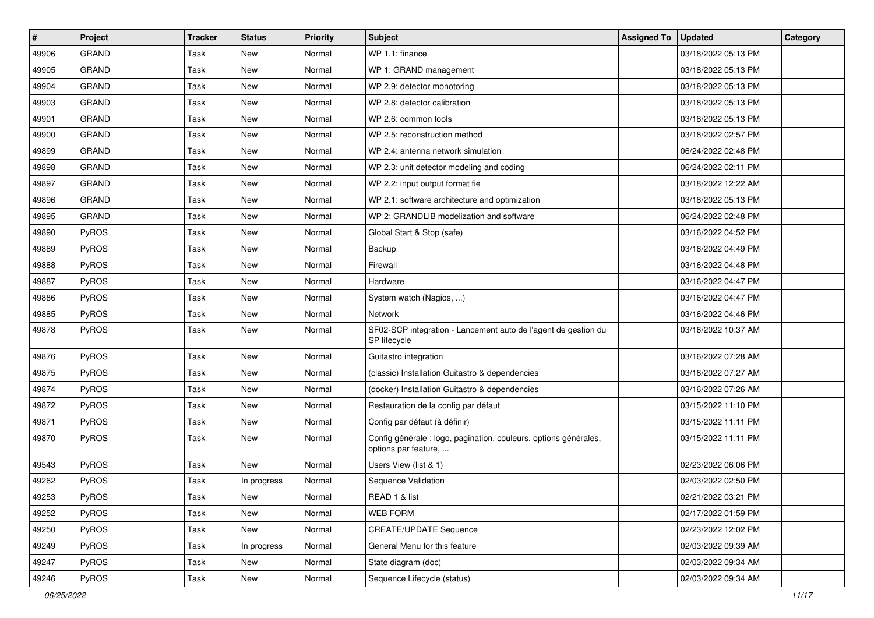| $\sharp$ | Project      | Tracker | <b>Status</b> | <b>Priority</b> | Subject                                                                                  | <b>Assigned To</b> | <b>Updated</b>      | Category |
|----------|--------------|---------|---------------|-----------------|------------------------------------------------------------------------------------------|--------------------|---------------------|----------|
| 49906    | <b>GRAND</b> | Task    | New           | Normal          | WP 1.1: finance                                                                          |                    | 03/18/2022 05:13 PM |          |
| 49905    | <b>GRAND</b> | Task    | New           | Normal          | WP 1: GRAND management                                                                   |                    | 03/18/2022 05:13 PM |          |
| 49904    | GRAND        | Task    | New           | Normal          | WP 2.9: detector monotoring                                                              |                    | 03/18/2022 05:13 PM |          |
| 49903    | GRAND        | Task    | New           | Normal          | WP 2.8: detector calibration                                                             |                    | 03/18/2022 05:13 PM |          |
| 49901    | <b>GRAND</b> | Task    | New           | Normal          | WP 2.6: common tools                                                                     |                    | 03/18/2022 05:13 PM |          |
| 49900    | <b>GRAND</b> | Task    | New           | Normal          | WP 2.5: reconstruction method                                                            |                    | 03/18/2022 02:57 PM |          |
| 49899    | <b>GRAND</b> | Task    | New           | Normal          | WP 2.4: antenna network simulation                                                       |                    | 06/24/2022 02:48 PM |          |
| 49898    | <b>GRAND</b> | Task    | New           | Normal          | WP 2.3: unit detector modeling and coding                                                |                    | 06/24/2022 02:11 PM |          |
| 49897    | GRAND        | Task    | New           | Normal          | WP 2.2: input output format fie                                                          |                    | 03/18/2022 12:22 AM |          |
| 49896    | <b>GRAND</b> | Task    | New           | Normal          | WP 2.1: software architecture and optimization                                           |                    | 03/18/2022 05:13 PM |          |
| 49895    | GRAND        | Task    | New           | Normal          | WP 2: GRANDLIB modelization and software                                                 |                    | 06/24/2022 02:48 PM |          |
| 49890    | PyROS        | Task    | New           | Normal          | Global Start & Stop (safe)                                                               |                    | 03/16/2022 04:52 PM |          |
| 49889    | PyROS        | Task    | New           | Normal          | Backup                                                                                   |                    | 03/16/2022 04:49 PM |          |
| 49888    | PyROS        | Task    | New           | Normal          | Firewall                                                                                 |                    | 03/16/2022 04:48 PM |          |
| 49887    | PyROS        | Task    | New           | Normal          | Hardware                                                                                 |                    | 03/16/2022 04:47 PM |          |
| 49886    | PyROS        | Task    | New           | Normal          | System watch (Nagios, )                                                                  |                    | 03/16/2022 04:47 PM |          |
| 49885    | PyROS        | Task    | New           | Normal          | Network                                                                                  |                    | 03/16/2022 04:46 PM |          |
| 49878    | PyROS        | Task    | New           | Normal          | SF02-SCP integration - Lancement auto de l'agent de gestion du<br>SP lifecycle           |                    | 03/16/2022 10:37 AM |          |
| 49876    | PyROS        | Task    | <b>New</b>    | Normal          | Guitastro integration                                                                    |                    | 03/16/2022 07:28 AM |          |
| 49875    | PyROS        | Task    | New           | Normal          | (classic) Installation Guitastro & dependencies                                          |                    | 03/16/2022 07:27 AM |          |
| 49874    | PyROS        | Task    | New           | Normal          | (docker) Installation Guitastro & dependencies                                           |                    | 03/16/2022 07:26 AM |          |
| 49872    | PyROS        | Task    | New           | Normal          | Restauration de la config par défaut                                                     |                    | 03/15/2022 11:10 PM |          |
| 49871    | PyROS        | Task    | New           | Normal          | Config par défaut (à définir)                                                            |                    | 03/15/2022 11:11 PM |          |
| 49870    | PyROS        | Task    | New           | Normal          | Config générale : logo, pagination, couleurs, options générales,<br>options par feature, |                    | 03/15/2022 11:11 PM |          |
| 49543    | PyROS        | Task    | New           | Normal          | Users View (list & 1)                                                                    |                    | 02/23/2022 06:06 PM |          |
| 49262    | PyROS        | Task    | In progress   | Normal          | Sequence Validation                                                                      |                    | 02/03/2022 02:50 PM |          |
| 49253    | PyROS        | Task    | New           | Normal          | READ 1 & list                                                                            |                    | 02/21/2022 03:21 PM |          |
| 49252    | <b>PyROS</b> | Task    | New           | Normal          | <b>WEB FORM</b>                                                                          |                    | 02/17/2022 01:59 PM |          |
| 49250    | PyROS        | Task    | New           | Normal          | <b>CREATE/UPDATE Sequence</b>                                                            |                    | 02/23/2022 12:02 PM |          |
| 49249    | PyROS        | Task    | In progress   | Normal          | General Menu for this feature                                                            |                    | 02/03/2022 09:39 AM |          |
| 49247    | <b>PyROS</b> | Task    | New           | Normal          | State diagram (doc)                                                                      |                    | 02/03/2022 09:34 AM |          |
| 49246    | PyROS        | Task    | New           | Normal          | Sequence Lifecycle (status)                                                              |                    | 02/03/2022 09:34 AM |          |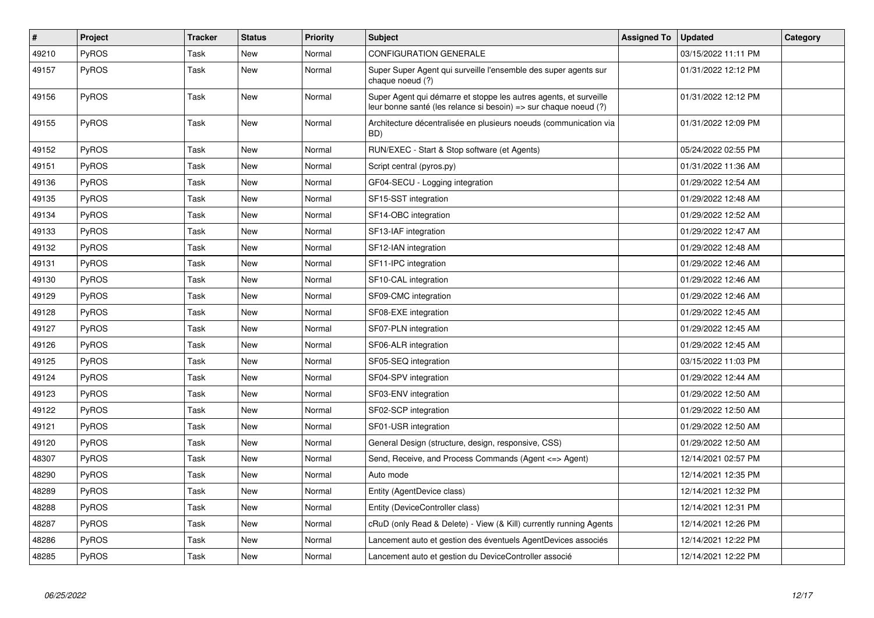| #     | <b>Project</b> | <b>Tracker</b> | <b>Status</b> | <b>Priority</b> | <b>Subject</b>                                                                                                                        | <b>Assigned To</b> | <b>Updated</b>      | Category |
|-------|----------------|----------------|---------------|-----------------|---------------------------------------------------------------------------------------------------------------------------------------|--------------------|---------------------|----------|
| 49210 | PyROS          | Task           | New           | Normal          | <b>CONFIGURATION GENERALE</b>                                                                                                         |                    | 03/15/2022 11:11 PM |          |
| 49157 | <b>PyROS</b>   | Task           | New           | Normal          | Super Super Agent qui surveille l'ensemble des super agents sur<br>chaque noeud (?)                                                   |                    | 01/31/2022 12:12 PM |          |
| 49156 | <b>PyROS</b>   | Task           | New           | Normal          | Super Agent qui démarre et stoppe les autres agents, et surveille<br>leur bonne santé (les relance si besoin) => sur chaque noeud (?) |                    | 01/31/2022 12:12 PM |          |
| 49155 | <b>PyROS</b>   | Task           | New           | Normal          | Architecture décentralisée en plusieurs noeuds (communication via<br>BD)                                                              |                    | 01/31/2022 12:09 PM |          |
| 49152 | PyROS          | Task           | <b>New</b>    | Normal          | RUN/EXEC - Start & Stop software (et Agents)                                                                                          |                    | 05/24/2022 02:55 PM |          |
| 49151 | PyROS          | Task           | <b>New</b>    | Normal          | Script central (pyros.py)                                                                                                             |                    | 01/31/2022 11:36 AM |          |
| 49136 | PyROS          | Task           | New           | Normal          | GF04-SECU - Logging integration                                                                                                       |                    | 01/29/2022 12:54 AM |          |
| 49135 | PyROS          | Task           | New           | Normal          | SF15-SST integration                                                                                                                  |                    | 01/29/2022 12:48 AM |          |
| 49134 | PyROS          | Task           | New           | Normal          | SF14-OBC integration                                                                                                                  |                    | 01/29/2022 12:52 AM |          |
| 49133 | <b>PyROS</b>   | Task           | New           | Normal          | SF13-IAF integration                                                                                                                  |                    | 01/29/2022 12:47 AM |          |
| 49132 | PyROS          | Task           | New           | Normal          | SF12-IAN integration                                                                                                                  |                    | 01/29/2022 12:48 AM |          |
| 49131 | PyROS          | Task           | New           | Normal          | SF11-IPC integration                                                                                                                  |                    | 01/29/2022 12:46 AM |          |
| 49130 | PyROS          | Task           | <b>New</b>    | Normal          | SF10-CAL integration                                                                                                                  |                    | 01/29/2022 12:46 AM |          |
| 49129 | PyROS          | Task           | New           | Normal          | SF09-CMC integration                                                                                                                  |                    | 01/29/2022 12:46 AM |          |
| 49128 | PyROS          | Task           | <b>New</b>    | Normal          | SF08-EXE integration                                                                                                                  |                    | 01/29/2022 12:45 AM |          |
| 49127 | PyROS          | Task           | <b>New</b>    | Normal          | SF07-PLN integration                                                                                                                  |                    | 01/29/2022 12:45 AM |          |
| 49126 | PyROS          | Task           | New           | Normal          | SF06-ALR integration                                                                                                                  |                    | 01/29/2022 12:45 AM |          |
| 49125 | <b>PyROS</b>   | Task           | <b>New</b>    | Normal          | SF05-SEQ integration                                                                                                                  |                    | 03/15/2022 11:03 PM |          |
| 49124 | PyROS          | Task           | New           | Normal          | SF04-SPV integration                                                                                                                  |                    | 01/29/2022 12:44 AM |          |
| 49123 | PyROS          | Task           | <b>New</b>    | Normal          | SF03-ENV integration                                                                                                                  |                    | 01/29/2022 12:50 AM |          |
| 49122 | PyROS          | Task           | New           | Normal          | SF02-SCP integration                                                                                                                  |                    | 01/29/2022 12:50 AM |          |
| 49121 | PyROS          | Task           | New           | Normal          | SF01-USR integration                                                                                                                  |                    | 01/29/2022 12:50 AM |          |
| 49120 | PyROS          | Task           | New           | Normal          | General Design (structure, design, responsive, CSS)                                                                                   |                    | 01/29/2022 12:50 AM |          |
| 48307 | <b>PyROS</b>   | Task           | New           | Normal          | Send, Receive, and Process Commands (Agent <= > Agent)                                                                                |                    | 12/14/2021 02:57 PM |          |
| 48290 | <b>PyROS</b>   | Task           | New           | Normal          | Auto mode                                                                                                                             |                    | 12/14/2021 12:35 PM |          |
| 48289 | <b>PyROS</b>   | Task           | New           | Normal          | Entity (AgentDevice class)                                                                                                            |                    | 12/14/2021 12:32 PM |          |
| 48288 | PyROS          | Task           | New           | Normal          | Entity (DeviceController class)                                                                                                       |                    | 12/14/2021 12:31 PM |          |
| 48287 | <b>PyROS</b>   | Task           | New           | Normal          | cRuD (only Read & Delete) - View (& Kill) currently running Agents                                                                    |                    | 12/14/2021 12:26 PM |          |
| 48286 | PyROS          | Task           | New           | Normal          | Lancement auto et gestion des éventuels AgentDevices associés                                                                         |                    | 12/14/2021 12:22 PM |          |
| 48285 | PyROS          | Task           | <b>New</b>    | Normal          | Lancement auto et gestion du DeviceController associé                                                                                 |                    | 12/14/2021 12:22 PM |          |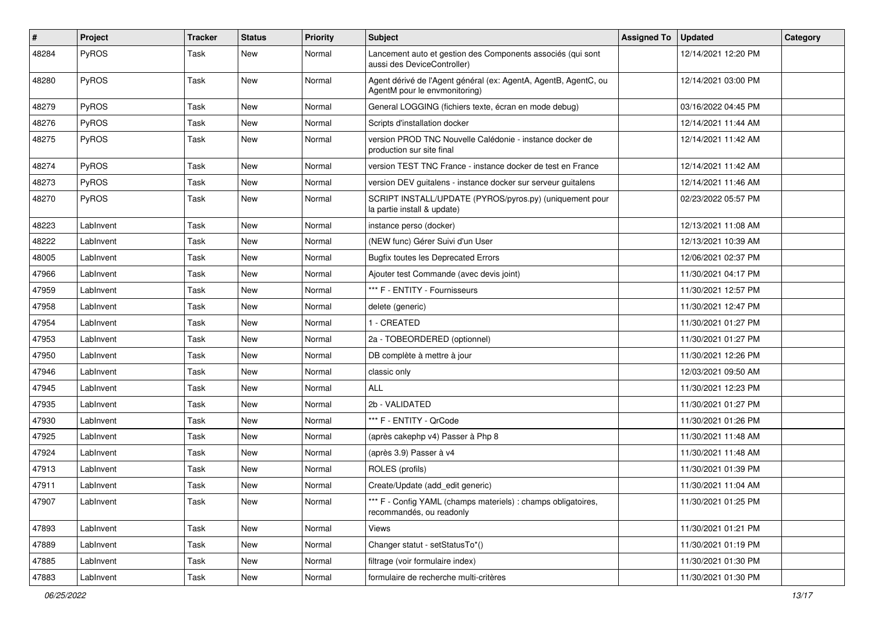| $\sharp$ | Project      | Tracker | <b>Status</b> | <b>Priority</b> | <b>Subject</b>                                                                                   | <b>Assigned To</b> | <b>Updated</b>      | Category |
|----------|--------------|---------|---------------|-----------------|--------------------------------------------------------------------------------------------------|--------------------|---------------------|----------|
| 48284    | PyROS        | Task    | New           | Normal          | Lancement auto et gestion des Components associés (qui sont<br>aussi des DeviceController)       |                    | 12/14/2021 12:20 PM |          |
| 48280    | PyROS        | Task    | New           | Normal          | Agent dérivé de l'Agent général (ex: AgentA, AgentB, AgentC, ou<br>AgentM pour le envmonitoring) |                    | 12/14/2021 03:00 PM |          |
| 48279    | PyROS        | Task    | New           | Normal          | General LOGGING (fichiers texte, écran en mode debug)                                            |                    | 03/16/2022 04:45 PM |          |
| 48276    | <b>PyROS</b> | Task    | New           | Normal          | Scripts d'installation docker                                                                    |                    | 12/14/2021 11:44 AM |          |
| 48275    | PyROS        | Task    | New           | Normal          | version PROD TNC Nouvelle Calédonie - instance docker de<br>production sur site final            |                    | 12/14/2021 11:42 AM |          |
| 48274    | PyROS        | Task    | New           | Normal          | version TEST TNC France - instance docker de test en France                                      |                    | 12/14/2021 11:42 AM |          |
| 48273    | PyROS        | Task    | New           | Normal          | version DEV guitalens - instance docker sur serveur guitalens                                    |                    | 12/14/2021 11:46 AM |          |
| 48270    | PyROS        | Task    | New           | Normal          | SCRIPT INSTALL/UPDATE (PYROS/pyros.py) (uniquement pour<br>la partie install & update)           |                    | 02/23/2022 05:57 PM |          |
| 48223    | LabInvent    | Task    | New           | Normal          | instance perso (docker)                                                                          |                    | 12/13/2021 11:08 AM |          |
| 48222    | LabInvent    | Task    | New           | Normal          | (NEW func) Gérer Suivi d'un User                                                                 |                    | 12/13/2021 10:39 AM |          |
| 48005    | LabInvent    | Task    | New           | Normal          | <b>Bugfix toutes les Deprecated Errors</b>                                                       |                    | 12/06/2021 02:37 PM |          |
| 47966    | LabInvent    | Task    | New           | Normal          | Ajouter test Commande (avec devis joint)                                                         |                    | 11/30/2021 04:17 PM |          |
| 47959    | LabInvent    | Task    | New           | Normal          | *** F - ENTITY - Fournisseurs                                                                    |                    | 11/30/2021 12:57 PM |          |
| 47958    | LabInvent    | Task    | New           | Normal          | delete (generic)                                                                                 |                    | 11/30/2021 12:47 PM |          |
| 47954    | LabInvent    | Task    | New           | Normal          | 1 - CREATED                                                                                      |                    | 11/30/2021 01:27 PM |          |
| 47953    | LabInvent    | Task    | New           | Normal          | 2a - TOBEORDERED (optionnel)                                                                     |                    | 11/30/2021 01:27 PM |          |
| 47950    | LabInvent    | Task    | New           | Normal          | DB complète à mettre à jour                                                                      |                    | 11/30/2021 12:26 PM |          |
| 47946    | LabInvent    | Task    | New           | Normal          | classic only                                                                                     |                    | 12/03/2021 09:50 AM |          |
| 47945    | LabInvent    | Task    | New           | Normal          | ALL                                                                                              |                    | 11/30/2021 12:23 PM |          |
| 47935    | LabInvent    | Task    | New           | Normal          | 2b - VALIDATED                                                                                   |                    | 11/30/2021 01:27 PM |          |
| 47930    | LabInvent    | Task    | New           | Normal          | *** F - ENTITY - QrCode                                                                          |                    | 11/30/2021 01:26 PM |          |
| 47925    | LabInvent    | Task    | New           | Normal          | (après cakephp v4) Passer à Php 8                                                                |                    | 11/30/2021 11:48 AM |          |
| 47924    | LabInvent    | Task    | New           | Normal          | (après 3.9) Passer à v4                                                                          |                    | 11/30/2021 11:48 AM |          |
| 47913    | LabInvent    | Task    | New           | Normal          | ROLES (profils)                                                                                  |                    | 11/30/2021 01:39 PM |          |
| 47911    | LabInvent    | Task    | New           | Normal          | Create/Update (add edit generic)                                                                 |                    | 11/30/2021 11:04 AM |          |
| 47907    | LabInvent    | Task    | New           | Normal          | *** F - Config YAML (champs materiels) : champs obligatoires,<br>recommandés, ou readonly        |                    | 11/30/2021 01:25 PM |          |
| 47893    | LabInvent    | Task    | New           | Normal          | Views                                                                                            |                    | 11/30/2021 01:21 PM |          |
| 47889    | LabInvent    | Task    | New           | Normal          | Changer statut - setStatusTo*()                                                                  |                    | 11/30/2021 01:19 PM |          |
| 47885    | LabInvent    | Task    | New           | Normal          | filtrage (voir formulaire index)                                                                 |                    | 11/30/2021 01:30 PM |          |
| 47883    | LabInvent    | Task    | New           | Normal          | formulaire de recherche multi-critères                                                           |                    | 11/30/2021 01:30 PM |          |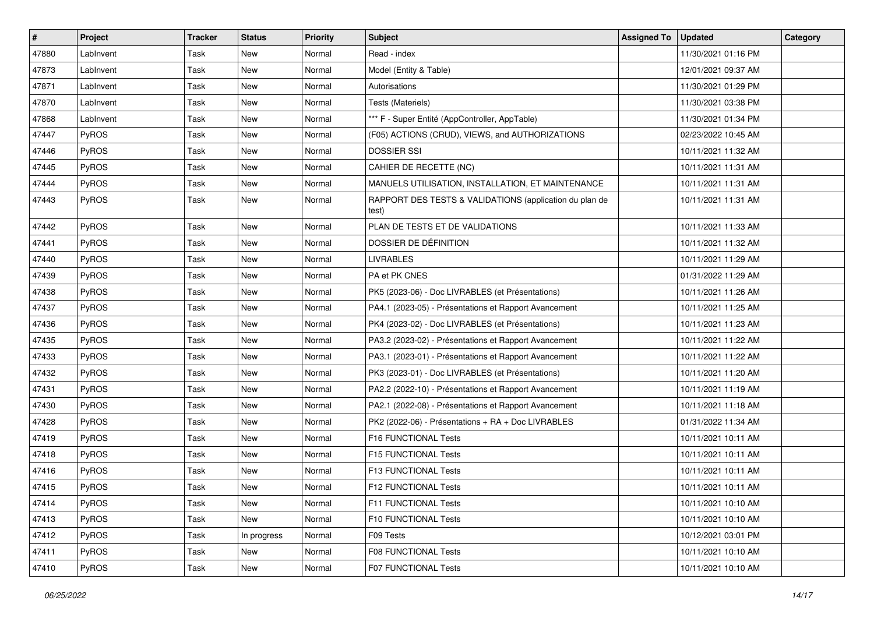| #     | Project      | Tracker | <b>Status</b> | <b>Priority</b> | Subject                                                          | <b>Assigned To</b> | <b>Updated</b>      | Category |
|-------|--------------|---------|---------------|-----------------|------------------------------------------------------------------|--------------------|---------------------|----------|
| 47880 | LabInvent    | Task    | New           | Normal          | Read - index                                                     |                    | 11/30/2021 01:16 PM |          |
| 47873 | LabInvent    | Task    | New           | Normal          | Model (Entity & Table)                                           |                    | 12/01/2021 09:37 AM |          |
| 47871 | LabInvent    | Task    | New           | Normal          | Autorisations                                                    |                    | 11/30/2021 01:29 PM |          |
| 47870 | LabInvent    | Task    | New           | Normal          | Tests (Materiels)                                                |                    | 11/30/2021 03:38 PM |          |
| 47868 | LabInvent    | Task    | New           | Normal          | *** F - Super Entité (AppController, AppTable)                   |                    | 11/30/2021 01:34 PM |          |
| 47447 | PyROS        | Task    | New           | Normal          | (F05) ACTIONS (CRUD), VIEWS, and AUTHORIZATIONS                  |                    | 02/23/2022 10:45 AM |          |
| 47446 | PyROS        | Task    | New           | Normal          | <b>DOSSIER SSI</b>                                               |                    | 10/11/2021 11:32 AM |          |
| 47445 | <b>PyROS</b> | Task    | New           | Normal          | CAHIER DE RECETTE (NC)                                           |                    | 10/11/2021 11:31 AM |          |
| 47444 | PyROS        | Task    | New           | Normal          | MANUELS UTILISATION, INSTALLATION, ET MAINTENANCE                |                    | 10/11/2021 11:31 AM |          |
| 47443 | PyROS        | Task    | New           | Normal          | RAPPORT DES TESTS & VALIDATIONS (application du plan de<br>test) |                    | 10/11/2021 11:31 AM |          |
| 47442 | PyROS        | Task    | New           | Normal          | PLAN DE TESTS ET DE VALIDATIONS                                  |                    | 10/11/2021 11:33 AM |          |
| 47441 | PyROS        | Task    | New           | Normal          | DOSSIER DE DÉFINITION                                            |                    | 10/11/2021 11:32 AM |          |
| 47440 | PyROS        | Task    | New           | Normal          | <b>LIVRABLES</b>                                                 |                    | 10/11/2021 11:29 AM |          |
| 47439 | PyROS        | Task    | New           | Normal          | PA et PK CNES                                                    |                    | 01/31/2022 11:29 AM |          |
| 47438 | PyROS        | Task    | New           | Normal          | PK5 (2023-06) - Doc LIVRABLES (et Présentations)                 |                    | 10/11/2021 11:26 AM |          |
| 47437 | PyROS        | Task    | New           | Normal          | PA4.1 (2023-05) - Présentations et Rapport Avancement            |                    | 10/11/2021 11:25 AM |          |
| 47436 | PyROS        | Task    | New           | Normal          | PK4 (2023-02) - Doc LIVRABLES (et Présentations)                 |                    | 10/11/2021 11:23 AM |          |
| 47435 | PyROS        | Task    | New           | Normal          | PA3.2 (2023-02) - Présentations et Rapport Avancement            |                    | 10/11/2021 11:22 AM |          |
| 47433 | PyROS        | Task    | New           | Normal          | PA3.1 (2023-01) - Présentations et Rapport Avancement            |                    | 10/11/2021 11:22 AM |          |
| 47432 | PyROS        | Task    | New           | Normal          | PK3 (2023-01) - Doc LIVRABLES (et Présentations)                 |                    | 10/11/2021 11:20 AM |          |
| 47431 | PyROS        | Task    | New           | Normal          | PA2.2 (2022-10) - Présentations et Rapport Avancement            |                    | 10/11/2021 11:19 AM |          |
| 47430 | PyROS        | Task    | New           | Normal          | PA2.1 (2022-08) - Présentations et Rapport Avancement            |                    | 10/11/2021 11:18 AM |          |
| 47428 | PyROS        | Task    | New           | Normal          | PK2 (2022-06) - Présentations + RA + Doc LIVRABLES               |                    | 01/31/2022 11:34 AM |          |
| 47419 | PyROS        | Task    | New           | Normal          | F16 FUNCTIONAL Tests                                             |                    | 10/11/2021 10:11 AM |          |
| 47418 | <b>PyROS</b> | Task    | New           | Normal          | F15 FUNCTIONAL Tests                                             |                    | 10/11/2021 10:11 AM |          |
| 47416 | PyROS        | Task    | New           | Normal          | <b>F13 FUNCTIONAL Tests</b>                                      |                    | 10/11/2021 10:11 AM |          |
| 47415 | PyROS        | Task    | New           | Normal          | F12 FUNCTIONAL Tests                                             |                    | 10/11/2021 10:11 AM |          |
| 47414 | <b>PyROS</b> | Task    | New           | Normal          | <b>F11 FUNCTIONAL Tests</b>                                      |                    | 10/11/2021 10:10 AM |          |
| 47413 | PyROS        | Task    | New           | Normal          | F10 FUNCTIONAL Tests                                             |                    | 10/11/2021 10:10 AM |          |
| 47412 | <b>PyROS</b> | Task    | In progress   | Normal          | F09 Tests                                                        |                    | 10/12/2021 03:01 PM |          |
| 47411 | PyROS        | Task    | New           | Normal          | F08 FUNCTIONAL Tests                                             |                    | 10/11/2021 10:10 AM |          |
| 47410 | PyROS        | Task    | New           | Normal          | F07 FUNCTIONAL Tests                                             |                    | 10/11/2021 10:10 AM |          |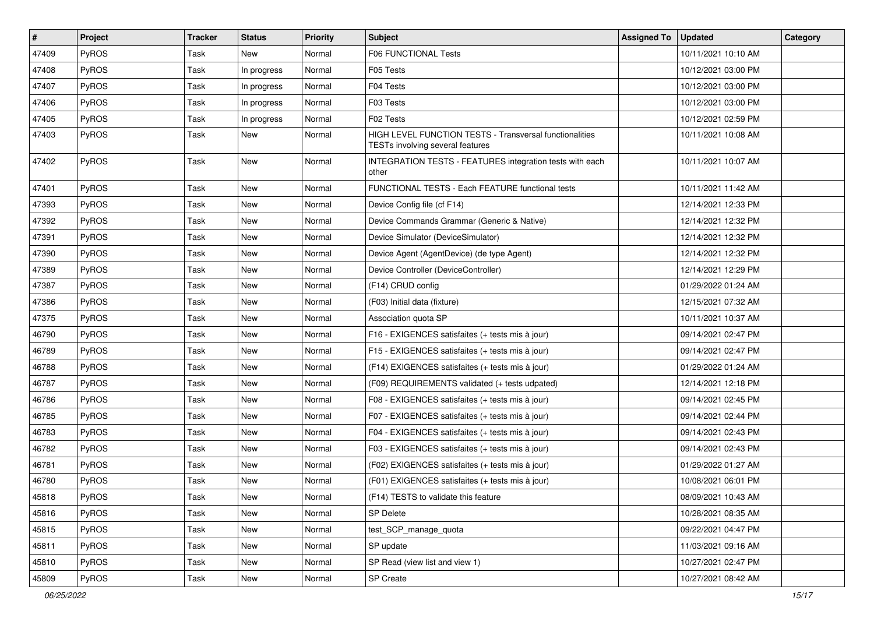| $\vert$ # | Project      | <b>Tracker</b> | <b>Status</b> | <b>Priority</b> | <b>Subject</b>                                                                              | <b>Assigned To</b> | <b>Updated</b>      | Category |
|-----------|--------------|----------------|---------------|-----------------|---------------------------------------------------------------------------------------------|--------------------|---------------------|----------|
| 47409     | PyROS        | Task           | <b>New</b>    | Normal          | F06 FUNCTIONAL Tests                                                                        |                    | 10/11/2021 10:10 AM |          |
| 47408     | PyROS        | Task           | In progress   | Normal          | F05 Tests                                                                                   |                    | 10/12/2021 03:00 PM |          |
| 47407     | <b>PyROS</b> | Task           | In progress   | Normal          | F04 Tests                                                                                   |                    | 10/12/2021 03:00 PM |          |
| 47406     | <b>PyROS</b> | Task           | In progress   | Normal          | F03 Tests                                                                                   |                    | 10/12/2021 03:00 PM |          |
| 47405     | <b>PyROS</b> | Task           | In progress   | Normal          | F02 Tests                                                                                   |                    | 10/12/2021 02:59 PM |          |
| 47403     | <b>PyROS</b> | Task           | New           | Normal          | HIGH LEVEL FUNCTION TESTS - Transversal functionalities<br>TESTs involving several features |                    | 10/11/2021 10:08 AM |          |
| 47402     | <b>PyROS</b> | Task           | New           | Normal          | INTEGRATION TESTS - FEATURES integration tests with each<br>other                           |                    | 10/11/2021 10:07 AM |          |
| 47401     | PyROS        | Task           | New           | Normal          | FUNCTIONAL TESTS - Each FEATURE functional tests                                            |                    | 10/11/2021 11:42 AM |          |
| 47393     | <b>PyROS</b> | Task           | New           | Normal          | Device Config file (cf F14)                                                                 |                    | 12/14/2021 12:33 PM |          |
| 47392     | <b>PyROS</b> | Task           | New           | Normal          | Device Commands Grammar (Generic & Native)                                                  |                    | 12/14/2021 12:32 PM |          |
| 47391     | <b>PyROS</b> | Task           | New           | Normal          | Device Simulator (DeviceSimulator)                                                          |                    | 12/14/2021 12:32 PM |          |
| 47390     | <b>PyROS</b> | Task           | New           | Normal          | Device Agent (AgentDevice) (de type Agent)                                                  |                    | 12/14/2021 12:32 PM |          |
| 47389     | <b>PyROS</b> | Task           | <b>New</b>    | Normal          | Device Controller (DeviceController)                                                        |                    | 12/14/2021 12:29 PM |          |
| 47387     | <b>PyROS</b> | Task           | New           | Normal          | (F14) CRUD config                                                                           |                    | 01/29/2022 01:24 AM |          |
| 47386     | <b>PyROS</b> | Task           | New           | Normal          | (F03) Initial data (fixture)                                                                |                    | 12/15/2021 07:32 AM |          |
| 47375     | PyROS        | <b>Task</b>    | New           | Normal          | Association quota SP                                                                        |                    | 10/11/2021 10:37 AM |          |
| 46790     | PyROS        | Task           | New           | Normal          | F16 - EXIGENCES satisfaites (+ tests mis à jour)                                            |                    | 09/14/2021 02:47 PM |          |
| 46789     | <b>PyROS</b> | Task           | New           | Normal          | F15 - EXIGENCES satisfaites (+ tests mis à jour)                                            |                    | 09/14/2021 02:47 PM |          |
| 46788     | <b>PyROS</b> | Task           | New           | Normal          | (F14) EXIGENCES satisfaites (+ tests mis à jour)                                            |                    | 01/29/2022 01:24 AM |          |
| 46787     | <b>PyROS</b> | Task           | New           | Normal          | (F09) REQUIREMENTS validated (+ tests udpated)                                              |                    | 12/14/2021 12:18 PM |          |
| 46786     | PyROS        | <b>Task</b>    | New           | Normal          | F08 - EXIGENCES satisfaites (+ tests mis à jour)                                            |                    | 09/14/2021 02:45 PM |          |
| 46785     | PyROS        | Task           | New           | Normal          | F07 - EXIGENCES satisfaites (+ tests mis à jour)                                            |                    | 09/14/2021 02:44 PM |          |
| 46783     | PyROS        | Task           | New           | Normal          | F04 - EXIGENCES satisfaites (+ tests mis à jour)                                            |                    | 09/14/2021 02:43 PM |          |
| 46782     | <b>PyROS</b> | Task           | New           | Normal          | F03 - EXIGENCES satisfaites (+ tests mis à jour)                                            |                    | 09/14/2021 02:43 PM |          |
| 46781     | <b>PyROS</b> | Task           | New           | Normal          | (F02) EXIGENCES satisfaites (+ tests mis à jour)                                            |                    | 01/29/2022 01:27 AM |          |
| 46780     | PyROS        | Task           | New           | Normal          | (F01) EXIGENCES satisfaites (+ tests mis à jour)                                            |                    | 10/08/2021 06:01 PM |          |
| 45818     | PyROS        | Task           | New           | Normal          | (F14) TESTS to validate this feature                                                        |                    | 08/09/2021 10:43 AM |          |
| 45816     | PyROS        | Task           | New           | Normal          | <b>SP Delete</b>                                                                            |                    | 10/28/2021 08:35 AM |          |
| 45815     | PyROS        | Task           | New           | Normal          | test_SCP_manage_quota                                                                       |                    | 09/22/2021 04:47 PM |          |
| 45811     | PyROS        | Task           | New           | Normal          | SP update                                                                                   |                    | 11/03/2021 09:16 AM |          |
| 45810     | <b>PyROS</b> | Task           | New           | Normal          | SP Read (view list and view 1)                                                              |                    | 10/27/2021 02:47 PM |          |
| 45809     | <b>PyROS</b> | Task           | New           | Normal          | SP Create                                                                                   |                    | 10/27/2021 08:42 AM |          |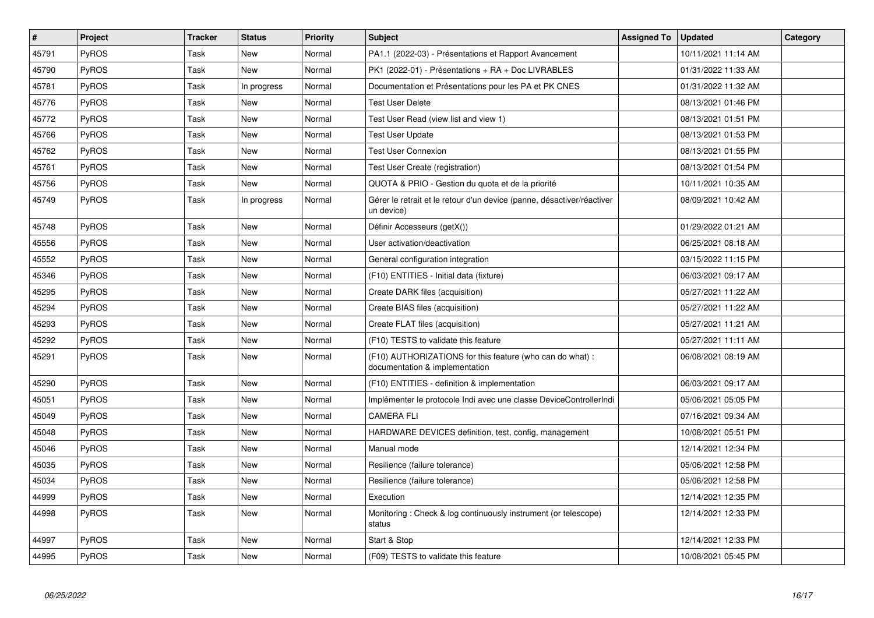| $\vert$ # | <b>Project</b> | <b>Tracker</b> | <b>Status</b> | <b>Priority</b> | <b>Subject</b>                                                                              | <b>Assigned To</b> | <b>Updated</b>      | Category |
|-----------|----------------|----------------|---------------|-----------------|---------------------------------------------------------------------------------------------|--------------------|---------------------|----------|
| 45791     | PyROS          | Task           | New           | Normal          | PA1.1 (2022-03) - Présentations et Rapport Avancement                                       |                    | 10/11/2021 11:14 AM |          |
| 45790     | <b>PyROS</b>   | Task           | <b>New</b>    | Normal          | PK1 (2022-01) - Présentations + RA + Doc LIVRABLES                                          |                    | 01/31/2022 11:33 AM |          |
| 45781     | PyROS          | Task           | In progress   | Normal          | Documentation et Présentations pour les PA et PK CNES                                       |                    | 01/31/2022 11:32 AM |          |
| 45776     | <b>PyROS</b>   | Task           | <b>New</b>    | Normal          | <b>Test User Delete</b>                                                                     |                    | 08/13/2021 01:46 PM |          |
| 45772     | PyROS          | Task           | <b>New</b>    | Normal          | Test User Read (view list and view 1)                                                       |                    | 08/13/2021 01:51 PM |          |
| 45766     | PyROS          | Task           | <b>New</b>    | Normal          | <b>Test User Update</b>                                                                     |                    | 08/13/2021 01:53 PM |          |
| 45762     | PyROS          | Task           | New           | Normal          | <b>Test User Connexion</b>                                                                  |                    | 08/13/2021 01:55 PM |          |
| 45761     | PyROS          | Task           | <b>New</b>    | Normal          | Test User Create (registration)                                                             |                    | 08/13/2021 01:54 PM |          |
| 45756     | <b>PyROS</b>   | Task           | <b>New</b>    | Normal          | QUOTA & PRIO - Gestion du quota et de la priorité                                           |                    | 10/11/2021 10:35 AM |          |
| 45749     | <b>PyROS</b>   | Task           | In progress   | Normal          | Gérer le retrait et le retour d'un device (panne, désactiver/réactiver<br>un device)        |                    | 08/09/2021 10:42 AM |          |
| 45748     | PyROS          | Task           | New           | Normal          | Définir Accesseurs (getX())                                                                 |                    | 01/29/2022 01:21 AM |          |
| 45556     | PyROS          | Task           | <b>New</b>    | Normal          | User activation/deactivation                                                                |                    | 06/25/2021 08:18 AM |          |
| 45552     | PyROS          | Task           | New           | Normal          | General configuration integration                                                           |                    | 03/15/2022 11:15 PM |          |
| 45346     | PyROS          | Task           | New           | Normal          | (F10) ENTITIES - Initial data (fixture)                                                     |                    | 06/03/2021 09:17 AM |          |
| 45295     | <b>PyROS</b>   | Task           | New           | Normal          | Create DARK files (acquisition)                                                             |                    | 05/27/2021 11:22 AM |          |
| 45294     | PyROS          | Task           | <b>New</b>    | Normal          | Create BIAS files (acquisition)                                                             |                    | 05/27/2021 11:22 AM |          |
| 45293     | <b>PyROS</b>   | Task           | New           | Normal          | Create FLAT files (acquisition)                                                             |                    | 05/27/2021 11:21 AM |          |
| 45292     | PyROS          | Task           | New           | Normal          | (F10) TESTS to validate this feature                                                        |                    | 05/27/2021 11:11 AM |          |
| 45291     | <b>PyROS</b>   | Task           | New           | Normal          | (F10) AUTHORIZATIONS for this feature (who can do what) :<br>documentation & implementation |                    | 06/08/2021 08:19 AM |          |
| 45290     | <b>PyROS</b>   | Task           | New           | Normal          | (F10) ENTITIES - definition & implementation                                                |                    | 06/03/2021 09:17 AM |          |
| 45051     | PyROS          | Task           | New           | Normal          | Implémenter le protocole Indi avec une classe DeviceControllerIndi                          |                    | 05/06/2021 05:05 PM |          |
| 45049     | <b>PyROS</b>   | Task           | New           | Normal          | <b>CAMERA FLI</b>                                                                           |                    | 07/16/2021 09:34 AM |          |
| 45048     | <b>PyROS</b>   | Task           | New           | Normal          | HARDWARE DEVICES definition, test, config, management                                       |                    | 10/08/2021 05:51 PM |          |
| 45046     | PyROS          | Task           | New           | Normal          | Manual mode                                                                                 |                    | 12/14/2021 12:34 PM |          |
| 45035     | <b>PyROS</b>   | Task           | New           | Normal          | Resilience (failure tolerance)                                                              |                    | 05/06/2021 12:58 PM |          |
| 45034     | PyROS          | Task           | New           | Normal          | Resilience (failure tolerance)                                                              |                    | 05/06/2021 12:58 PM |          |
| 44999     | <b>PyROS</b>   | Task           | <b>New</b>    | Normal          | Execution                                                                                   |                    | 12/14/2021 12:35 PM |          |
| 44998     | PyROS          | Task           | New           | Normal          | Monitoring: Check & log continuously instrument (or telescope)<br>status                    |                    | 12/14/2021 12:33 PM |          |
| 44997     | PyROS          | Task           | New           | Normal          | Start & Stop                                                                                |                    | 12/14/2021 12:33 PM |          |
| 44995     | PyROS          | Task           | <b>New</b>    | Normal          | (F09) TESTS to validate this feature                                                        |                    | 10/08/2021 05:45 PM |          |